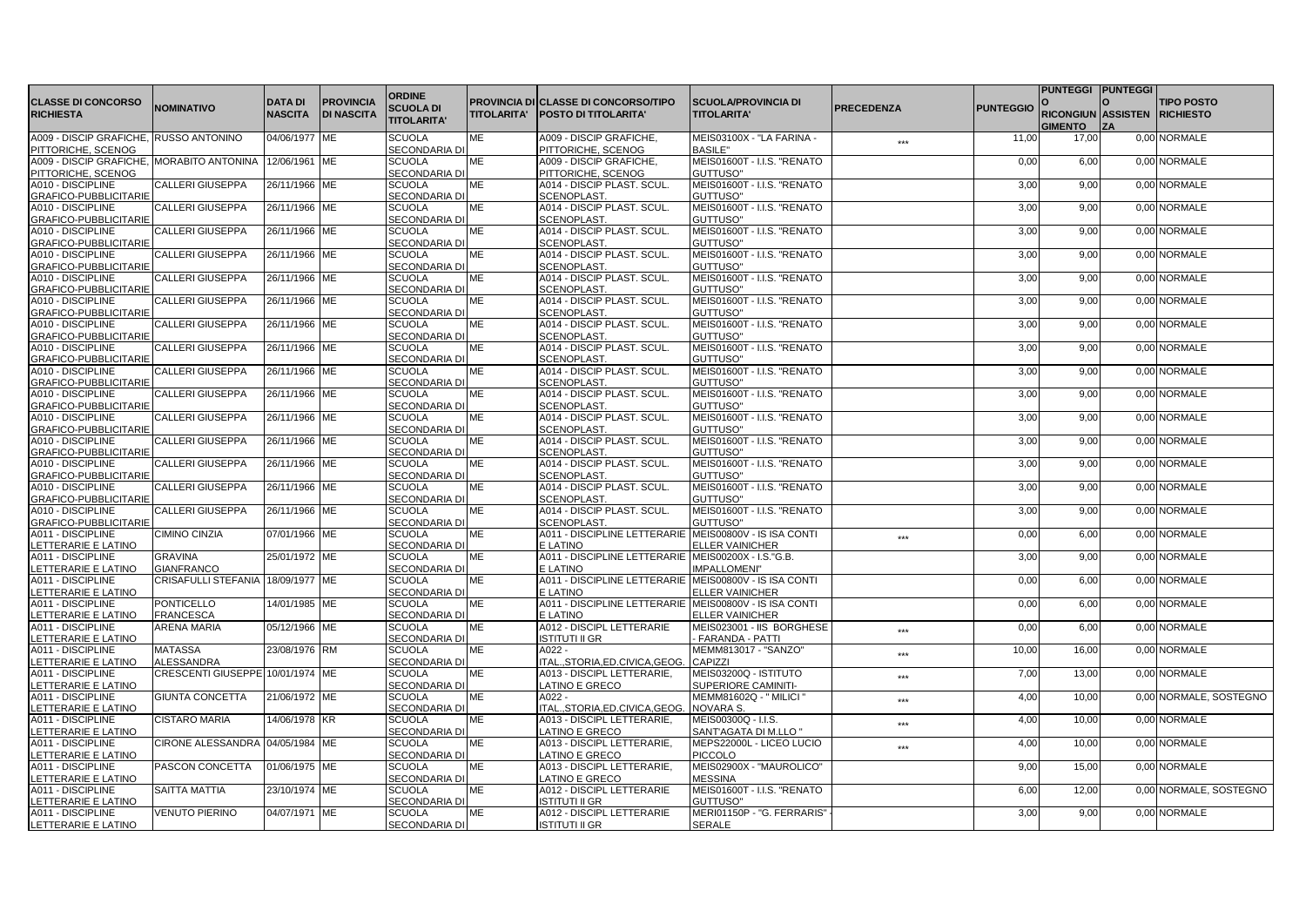|                                            |                                   |                |                   |                                       |                     |                                                                    |                                         |                   |                  | PUNTEGGI PUNTEGGI            |                        |
|--------------------------------------------|-----------------------------------|----------------|-------------------|---------------------------------------|---------------------|--------------------------------------------------------------------|-----------------------------------------|-------------------|------------------|------------------------------|------------------------|
| <b>CLASSE DI CONCORSO</b>                  | <b>NOMINATIVO</b>                 | <b>DATA DI</b> | <b>PROVINCIA</b>  | <b>ORDINE</b><br><b>SCUOLA DI</b>     | <b>PROVINCIA DI</b> | <b>ICLASSE DI CONCORSO/TIPO</b>                                    | <b>SCUOLA/PROVINCIA DI</b>              | <b>PRECEDENZA</b> | <b>PUNTEGGIO</b> |                              | <b>TIPO POSTO</b>      |
| <b>RICHIESTA</b>                           |                                   | <b>NASCITA</b> | <b>DI NASCITA</b> |                                       | <b>TITOLARITA'</b>  | POSTO DI TITOLARITA'                                               | <b>TITOLARITA'</b>                      |                   |                  | RICONGIUN ASSISTEN RICHIESTO |                        |
|                                            |                                   |                |                   | <b>TITOLARITA'</b>                    |                     |                                                                    |                                         |                   |                  | <b>GIMENTO</b>               |                        |
| A009 - DISCIP GRAFICHE, RUSSO ANTONINO     |                                   | 04/06/1977 ME  |                   | <b>SCUOLA</b>                         | МE                  | A009 - DISCIP GRAFICHE,                                            | MEIS03100X - "LA FARINA -               | ***               | 11,00            | 17,00                        | 0,00 NORMALE           |
| PITTORICHE, SCENOG                         |                                   |                |                   | <b>SECONDARIA DI</b>                  |                     | PITTORICHE, SCENOG                                                 | <b>BASILE"</b>                          |                   |                  |                              |                        |
| A009 - DISCIP GRAFICHE, MORABITO ANTONINA  |                                   | 12/06/1961 ME  |                   | <b>SCUOLA</b>                         | МE                  | A009 - DISCIP GRAFICHE,                                            | MEIS01600T - I.I.S. "RENATO             |                   | 0,00             | 6,00                         | 0,00 NORMALE           |
| PITTORICHE, SCENOG                         |                                   |                |                   | <b>SECONDARIA DI</b>                  |                     | PITTORICHE, SCENOG                                                 | GUTTUSO"                                |                   |                  |                              |                        |
| A010 - DISCIPLINE                          | <b>CALLERI GIUSEPPA</b>           | 26/11/1966 ME  |                   | <b>SCUOLA</b>                         | МE                  | A014 - DISCIP PLAST, SCUL                                          | MEIS01600T - I.I.S. "RENATO             |                   | 3,00             | 9.00                         | 0.00 NORMALE           |
| GRAFICO-PUBBLICITARIE                      |                                   |                |                   | <b>SECONDARIA DI</b>                  |                     | <b>SCENOPLAST</b>                                                  | GUTTUSO"                                |                   |                  |                              |                        |
| A010 - DISCIPLINE                          | <b>CALLERI GIUSEPPA</b>           | 26/11/1966 ME  |                   | <b>SCUOLA</b>                         | MЕ                  | A014 - DISCIP PLAST. SCUL.                                         | MEIS01600T - I.I.S. "RENATO             |                   | 3,00             | 9,00                         | 0,00 NORMALE           |
| <b>GRAFICO-PUBBLICITARIE</b>               |                                   |                |                   | <b>SECONDARIA DI</b>                  |                     | <b>SCENOPLAST</b>                                                  | GUTTUSO"                                |                   |                  |                              |                        |
| A010 - DISCIPLINE                          | CALLERI GIUSEPPA                  | 26/11/1966 ME  |                   | <b>SCUOLA</b>                         | МE                  | A014 - DISCIP PLAST. SCUL                                          | MEIS01600T - I.I.S. "RENATO             |                   | 3,00             | 9,00                         | 0,00 NORMALE           |
| <b>GRAFICO-PUBBLICITARIE</b>               |                                   |                |                   | <b>SECONDARIA DI</b>                  |                     | <b>SCENOPLAST</b>                                                  | GUTTUSO"                                |                   |                  |                              |                        |
| A010 - DISCIPLINE                          | <b>CALLERI GIUSEPPA</b>           | 26/11/1966 ME  |                   | <b>SCUOLA</b>                         | МE                  | A014 - DISCIP PLAST, SCUL                                          | MEIS01600T - I.I.S. "RENATO             |                   | 3,00             | 9.00                         | 0.00 NORMALE           |
| GRAFICO-PUBBLICITARIE<br>A010 - DISCIPLINE | <b>CALLERI GIUSEPPA</b>           | 26/11/1966 ME  |                   | <b>SECONDARIA DI</b><br><b>SCUOLA</b> | <b>ME</b>           | <b>SCENOPLAST</b><br>A014 - DISCIP PLAST. SCUL.                    | GUTTUSO"<br>MEIS01600T - I.I.S. "RENATO |                   | 3,00             | 9,00                         | 0,00 NORMALE           |
| GRAFICO-PUBBLICITARIE                      |                                   |                |                   | SECONDARIA DI                         |                     | <b>SCENOPLAST</b>                                                  | GUTTUSO"                                |                   |                  |                              |                        |
| A010 - DISCIPLINE                          | CALLERI GIUSEPPA                  | 26/11/1966 ME  |                   | <b>SCUOLA</b>                         | MЕ                  | A014 - DISCIP PLAST. SCUL                                          | MEIS01600T - I.I.S. "RENATO             |                   | 3,00             | 9,00                         | 0,00 NORMALE           |
| <b>GRAFICO-PUBBLICITARIE</b>               |                                   |                |                   | SECONDARIA DI                         |                     | <b>SCENOPLAST</b>                                                  | GUTTUSO"                                |                   |                  |                              |                        |
| A010 - DISCIPLINE                          | CALLERI GIUSEPPA                  | 26/11/1966 ME  |                   | <b>SCUOLA</b>                         | МE                  | A014 - DISCIP PLAST. SCUL                                          | MEIS01600T - I.I.S. "RENATO             |                   | 3,00             | 9,00                         | 0,00 NORMALE           |
| <b>GRAFICO-PUBBLICITARIE</b>               |                                   |                |                   | <b>SECONDARIA DI</b>                  |                     | <b>SCENOPLAST</b>                                                  | GUTTUSO"                                |                   |                  |                              |                        |
| A010 - DISCIPLINE                          | <b>CALLERI GIUSEPPA</b>           | 26/11/1966 ME  |                   | <b>SCUOLA</b>                         | МE                  | A014 - DISCIP PLAST, SCUL.                                         | MEIS01600T - I.I.S. "RENATO             |                   | 3,00             | 9.00                         | 0.00 NORMALE           |
| <b>GRAFICO-PUBBLICITARIE</b>               |                                   |                |                   | SECONDARIA DI                         |                     | <b>SCENOPLAST</b>                                                  | GUTTUSO"                                |                   |                  |                              |                        |
| A010 - DISCIPLINE                          | <b>CALLERI GIUSEPPA</b>           | 26/11/1966 ME  |                   | <b>SCUOLA</b>                         | MЕ                  | A014 - DISCIP PLAST. SCUL                                          | MEIS01600T - I.I.S. "RENATO             |                   | 3,00             | 9,00                         | 0,00 NORMALE           |
| <b>GRAFICO-PUBBLICITARIE</b>               |                                   |                |                   | <b>SECONDARIA DI</b>                  |                     | SCENOPLAST                                                         | GUTTUSO"                                |                   |                  |                              |                        |
| A010 - DISCIPLINE                          | CALLERI GIUSEPPA                  | 26/11/1966 ME  |                   | <b>SCUOLA</b>                         | МE                  | A014 - DISCIP PLAST. SCUL                                          | MEIS01600T - I.I.S. "RENATO             |                   | 3,00             | 9,00                         | 0,00 NORMALE           |
| <b>GRAFICO-PUBBLICITARIE</b>               |                                   |                |                   | <b>SECONDARIA DI</b>                  |                     | <b>SCENOPLAST</b>                                                  | GUTTUSO"                                |                   |                  |                              |                        |
| A010 - DISCIPLINE                          | <b>CALLERI GIUSEPPA</b>           | 26/11/1966 ME  |                   | <b>SCUOLA</b>                         | МE                  | A014 - DISCIP PLAST. SCUL.                                         | MEIS01600T - I.I.S. "RENATO             |                   | 3,00             | 9,00                         | 0,00 NORMALE           |
| <b>GRAFICO-PUBBLICITARIE</b>               |                                   |                |                   | <b>SECONDARIA DI</b>                  |                     | <b>SCENOPLAST</b>                                                  | GUTTUSO"                                |                   |                  |                              |                        |
| A010 - DISCIPLINE                          | CALLERI GIUSEPPA                  | 26/11/1966 ME  |                   | <b>SCUOLA</b>                         | МE                  | A014 - DISCIP PLAST. SCUL                                          | MEIS01600T - I.I.S. "RENATO             |                   | 3,00             | 9,00                         | 0,00 NORMALE           |
| <b>GRAFICO-PUBBLICITARIE</b>               |                                   |                |                   | <b>SECONDARIA DI</b>                  |                     | <b>SCENOPLAST</b>                                                  | GUTTUSO"                                |                   |                  |                              |                        |
| A010 - DISCIPLINE                          | CALLERI GIUSEPPA                  | 26/11/1966 ME  |                   | <b>SCUOLA</b>                         | MЕ                  | A014 - DISCIP PLAST, SCUL                                          | MEIS01600T - I.I.S. "RENATO             |                   | 3,00             | 9,00                         | 0,00 NORMALE           |
| GRAFICO-PUBBLICITARIE                      |                                   |                |                   | <b>SECONDARIA DI</b>                  |                     | <b>SCENOPLAST</b>                                                  | GUTTUSO"                                |                   |                  |                              |                        |
| A010 - DISCIPLINE                          | <b>CALLERI GIUSEPPA</b>           | 26/11/1966 ME  |                   | <b>SCUOLA</b>                         | МE                  | A014 - DISCIP PLAST. SCUL.                                         | MEIS01600T - I.I.S. "RENATO             |                   | 3,00             | 9,00                         | 0,00 NORMALE           |
| <b>GRAFICO-PUBBLICITARIE</b>               |                                   |                |                   | <b>SECONDARIA DI</b>                  |                     | <b>SCENOPLAST</b>                                                  | GUTTUSO"                                |                   |                  |                              |                        |
| A010 - DISCIPLINE                          | <b>CALLERI GIUSEPPA</b>           | 26/11/1966 ME  |                   | <b>SCUOLA</b>                         | МE                  | A014 - DISCIP PLAST. SCUL                                          | MEIS01600T - I.I.S. "RENATO             |                   | 3,00             | 9,00                         | 0,00 NORMALE           |
| <b>GRAFICO-PUBBLICITARIE</b>               |                                   |                |                   | <b>SECONDARIA DI</b>                  |                     | <b>SCENOPLAST</b>                                                  | GUTTUSO"                                |                   |                  |                              |                        |
| A011 - DISCIPLINE                          | CIMINO CINZIA                     | 07/01/1966 ME  |                   | <b>SCUOLA</b>                         | MЕ                  | A011 - DISCIPLINE LETTERARIE MEIS00800V - IS ISA CONTI             |                                         | ***               | 0,00             | 6,00                         | 0,00 NORMALE           |
| LETTERARIE E LATINO                        |                                   |                |                   | <b>SECONDARIA DI</b>                  |                     | E LATINO                                                           | ELLER VAINICHER                         |                   |                  |                              |                        |
| A011 - DISCIPLINE                          | <b>GRAVINA</b>                    | 25/01/1972 ME  |                   | <b>SCUOLA</b>                         | MЕ                  | A011 - DISCIPLINE LETTERARIE MEIS00200X - I.S."G.B.                |                                         |                   | 3,00             | 9.00                         | 0.00 NORMALE           |
| LETTERARIE E LATINO                        | <b>GIANFRANCO</b>                 |                |                   | <b>SECONDARIA DI</b>                  | МE                  | E LATINO                                                           | <b>IMPALLOMENI</b>                      |                   |                  |                              |                        |
| A011 - DISCIPLINE                          | CRISAFULLI STEFANIA 18/09/1977 ME |                |                   | <b>SCUOLA</b>                         |                     | A011 - DISCIPLINE LETTERARIE MEIS00800V - IS ISA CONTI<br>E LATINO |                                         |                   | 0,00             | 6,00                         | 0,00 NORMALE           |
| LETTERARIE E LATINO<br>A011 - DISCIPLINE   | PONTICELLO                        | 14/01/1985 ME  |                   | <b>SECONDARIA DI</b><br><b>SCUOLA</b> | МE                  | A011 - DISCIPLINE LETTERARIE MEIS00800V - IS ISA CONTI             | <b>ELLER VAINICHER</b>                  |                   | 0,00             | 6,00                         | 0,00 NORMALE           |
| LETTERARIE E LATINO                        | <b>FRANCESCA</b>                  |                |                   | <b>SECONDARIA DI</b>                  |                     | E LATINO                                                           | <b>ELLER VAINICHER</b>                  |                   |                  |                              |                        |
| A011 - DISCIPLINE                          | ARENA MARIA                       | 05/12/1966 ME  |                   | <b>SCUOLA</b>                         | MЕ                  | A012 - DISCIPL LETTERARIE                                          | MEIS023001 - IIS BORGHESE               |                   | 0,00             | 6,00                         | 0,00 NORMALE           |
| LETTERARIE E LATINO                        |                                   |                |                   | <b>SECONDARIA DI</b>                  |                     | <b>STITUTI II GR</b>                                               | <b>FARANDA - PATTI</b>                  | ***               |                  |                              |                        |
| A011 - DISCIPLINE                          | <b>MATASSA</b>                    | 23/08/1976 RM  |                   | <b>SCUOLA</b>                         | МE                  | $A022 -$                                                           | MEMM813017 - "SANZO"                    |                   | 10,00            | 16.00                        | 0.00 NORMALE           |
| <b>ETTERARIE E LATINO</b>                  | <b>ALESSANDRA</b>                 |                |                   | <b>SECONDARIA DI</b>                  |                     | TAL.,STORIA,ED.CIVICA,GEOG                                         | <b>CAPIZZI</b>                          | ***               |                  |                              |                        |
| A011 - DISCIPLINE                          | CRESCENTI GIUSEPPE 10/01/1974 ME  |                |                   | <b>SCUOLA</b>                         | MЕ                  | A013 - DISCIPL LETTERARIE.                                         | MEIS03200Q - ISTITUTO                   |                   | 7,00             | 13,00                        | 0,00 NORMALE           |
| LETTERARIE E LATINO                        |                                   |                |                   | <b>SECONDARIA DI</b>                  |                     | LATINO E GRECO                                                     | SUPERIORE CAMINITI-                     | ***               |                  |                              |                        |
| A011 - DISCIPLINE                          | <b>GIUNTA CONCETTA</b>            | 21/06/1972 ME  |                   | <b>SCUOLA</b>                         | MЕ                  | A022 -                                                             | MEMM81602Q - " MILICI                   | ***               | 4,00             | 10,00                        | 0,00 NORMALE, SOSTEGNO |
| LETTERARIE E LATINO                        |                                   |                |                   | <b>SECONDARIA DI</b>                  |                     | TALSTORIA.ED.CIVICA.GEOG                                           | <b>NOVARA S.</b>                        |                   |                  |                              |                        |
| A011 - DISCIPLINE                          | <b>CISTARO MARIA</b>              | 14/06/1978 KR  |                   | <b>SCUOLA</b>                         | МE                  | A013 - DISCIPL LETTERARIE.                                         | MEIS00300Q - I.I.S.                     | ***               | 4,00             | 10,00                        | 0,00 NORMALE           |
| LETTERARIE E LATINO                        |                                   |                |                   | <b>SECONDARIA DI</b>                  |                     | <b>ATINO E GRECO</b>                                               | SANT'AGATA DI M.LLO "                   |                   |                  |                              |                        |
| A011 - DISCIPLINE                          | CIRONE ALESSANDRA 04/05/1984 ME   |                |                   | <b>SCUOLA</b>                         | MЕ                  | A013 - DISCIPL LETTERARIE,                                         | MEPS22000L - LICEO LUCIO                | ***               | 4,00             | 10,00                        | 0,00 NORMALE           |
| LETTERARIE E LATINO                        |                                   |                |                   | <b>SECONDARIA DI</b>                  |                     | ATINO E GRECO                                                      | <b>PICCOLO</b>                          |                   |                  |                              |                        |
| A011 - DISCIPLINE                          | PASCON CONCETTA                   | 01/06/1975 ME  |                   | <b>SCUOLA</b>                         | MЕ                  | A013 - DISCIPL LETTERARIE,                                         | MEIS02900X - "MAUROLICO"                |                   | 9,00             | 15,00                        | 0,00 NORMALE           |
| LETTERARIE E LATINO                        |                                   |                |                   | SECONDARIA DI                         |                     | ATINO E GRECO.                                                     | <b>MESSINA</b>                          |                   |                  |                              |                        |
| A011 - DISCIPLINE                          | <b>SAITTA MATTIA</b>              | 23/10/1974 ME  |                   | <b>SCUOLA</b>                         | МE                  | A012 - DISCIPL LETTERARIE                                          | MEIS01600T - I.I.S. "RENATO             |                   | 6,00             | 12,00                        | 0,00 NORMALE, SOSTEGNO |
| LETTERARIE E LATINO                        |                                   |                |                   | <b>SECONDARIA D</b>                   |                     | STITUTI II GR                                                      | GUTTUSO"                                |                   |                  |                              |                        |
| A011 - DISCIPLINE                          | VENUTO PIERINO                    | 04/07/1971 ME  |                   | <b>SCUOLA</b>                         | MЕ                  | A012 - DISCIPL LETTERARIE                                          | MERI01150P - "G. FERRARIS"              |                   | 3,00             | 9,00                         | 0,00 NORMALE           |
| LETTERARIE E LATINO                        |                                   |                |                   | <b>SECONDARIA DI</b>                  |                     | <b>ISTITUTI II GR</b>                                              | <b>SERALE</b>                           |                   |                  |                              |                        |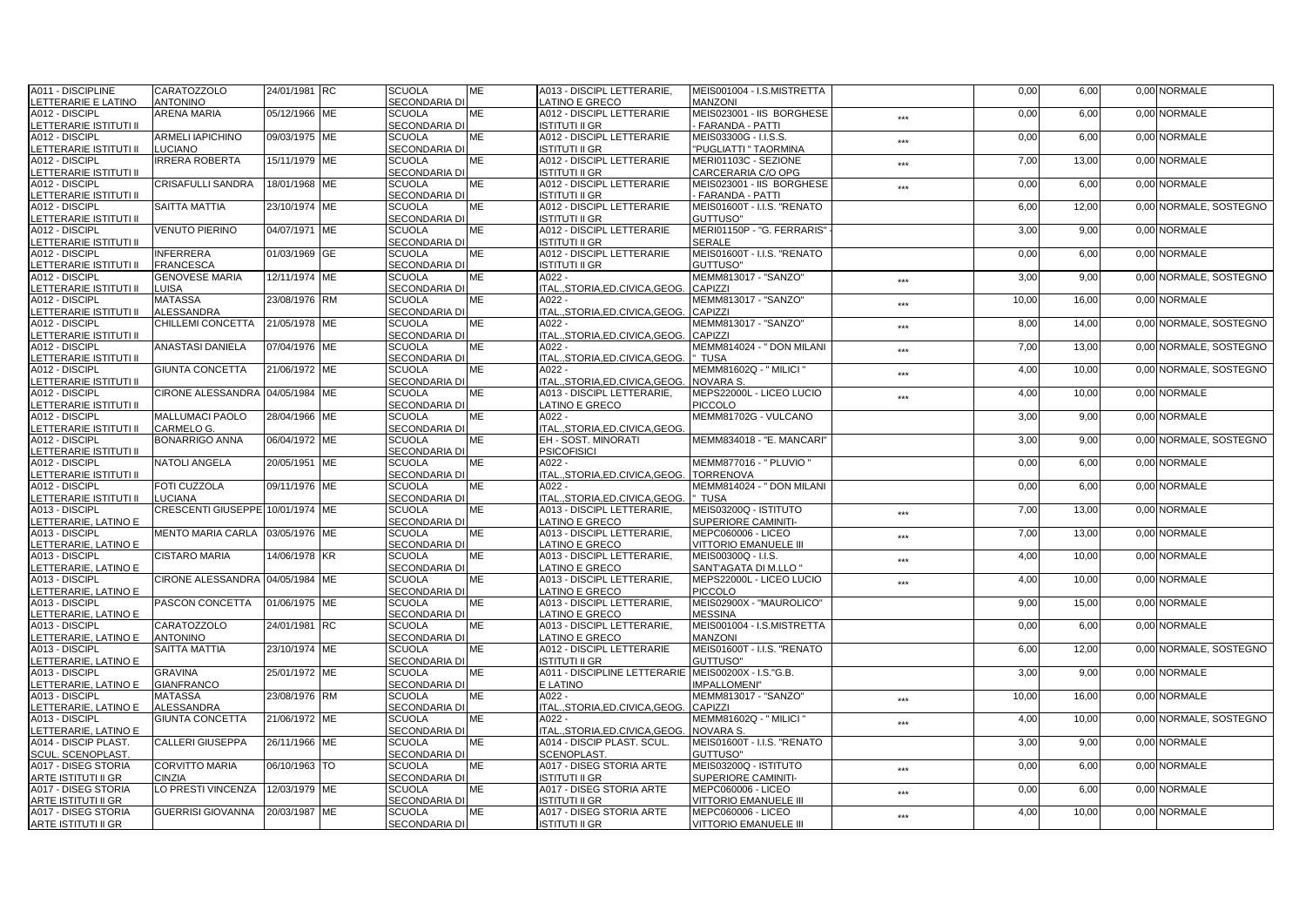| A011 - DISCIPLINE                                        | CARATOZZOLO                      | 24/01/1981 RC  | <b>SCUOLA</b>                         | ME        | A013 - DISCIPL LETTERARIE,                            | MEIS001004 - I.S.MISTRETTA                        |       | 0,00  | 6,00  | 0,00 NORMALE           |
|----------------------------------------------------------|----------------------------------|----------------|---------------------------------------|-----------|-------------------------------------------------------|---------------------------------------------------|-------|-------|-------|------------------------|
| LETTERARIE E LATINO                                      | <b>ANTONINO</b>                  |                | SECONDARIA DI                         |           | <b>ATINO E GRECO</b>                                  | <b>MANZONI</b>                                    |       |       |       |                        |
| A012 - DISCIPL                                           | ARENA MARIA                      | 05/12/1966 ME  | <b>SCUOLA</b>                         | МE        | A012 - DISCIPL LETTERARIE                             | MEIS023001 - IIS BORGHESE                         | $***$ | 0,00  | 6,00  | 0,00 NORMALE           |
| LETTERARIE ISTITUTI II                                   |                                  |                | <b>SECONDARIA DI</b>                  |           | <b>ISTITUTI II GR</b>                                 | <b>FARANDA - PATTI</b>                            |       |       |       |                        |
| A012 - DISCIPL                                           | <b>ARMELI IAPICHINO</b>          | 09/03/1975 ME  | <b>SCUOLA</b>                         | МE        | A012 - DISCIPL LETTERARIE                             | MEIS03300G - I.I.S.S.                             | ***   | 0,00  | 6,00  | 0.00 NORMALE           |
| LETTERARIE ISTITUTI II                                   | LUCIANO                          |                | <b>SECONDARIA DI</b>                  |           | <b>ISTITUTI II GR</b>                                 | "PUGLIATTI " TAORMINA                             |       |       |       |                        |
| A012 - DISCIPL                                           | <b>IRRERA ROBERTA</b>            | 15/11/1979 ME  | <b>SCUOLA</b><br><b>SECONDARIA DI</b> | ME        | A012 - DISCIPL LETTERARIE                             | MERI01103C - SEZIONE                              | ***   | 7,00  | 13,00 | 0,00 NORMALE           |
| LETTERARIE ISTITUTI II<br>A012 - DISCIPL                 | CRISAFULLI SANDRA                | 18/01/1968 ME  | <b>SCUOLA</b>                         | ME        | ISTITUTI II GR<br>A012 - DISCIPL LETTERARIE           | CARCERARIA C/O OPG<br>MEIS023001 - IIS BORGHESE   |       | 0,00  | 6,00  | 0,00 NORMALE           |
| LETTERARIE ISTITUTI II                                   |                                  |                | <b>SECONDARIA DI</b>                  |           | <b>ISTITUTI II GR</b>                                 | <b>FARANDA - PATTI</b>                            | $***$ |       |       |                        |
| A012 - DISCIPL                                           | <b>SAITTA MATTIA</b>             | 23/10/1974 IME | <b>SCUOLA</b>                         | ME        | A012 - DISCIPL LETTERARIE                             | MEIS01600T - I.I.S. "RENATO                       |       | 6,00  | 12,00 | 0,00 NORMALE, SOSTEGNO |
| LETTERARIE ISTITUTI II                                   |                                  |                | <b>SECONDARIA DI</b>                  |           | <b>ISTITUTI II GR</b>                                 | GUTTUSO"                                          |       |       |       |                        |
| A012 - DISCIPL                                           | <b>VENUTO PIERINO</b>            | 04/07/1971 ME  | <b>SCUOLA</b>                         | ME        | <b>A012 - DISCIPL LETTERARIE</b>                      | MERI01150P - "G. FERRARIS"                        |       | 3,00  | 9,00  | 0.00 NORMALE           |
| LETTERARIE ISTITUTI II                                   |                                  |                | <b>SECONDARIA DI</b>                  |           | ISTITUTI II GR                                        | <b>SERALE</b>                                     |       |       |       |                        |
| A012 - DISCIPL                                           | <b>INFERRERA</b>                 | 01/03/1969 GE  | <b>SCUOLA</b>                         | ME        | A012 - DISCIPL LETTERARIE                             | MEIS01600T - I.I.S. "RENATO                       |       | 0,00  | 6,00  | 0.00 NORMALE           |
| LETTERARIE ISTITUTI II                                   | <b>FRANCESCA</b>                 |                | <b>SECONDARIA DI</b>                  |           | ISTITUTI II GR                                        | GUTTUSO"                                          |       |       |       |                        |
| A012 - DISCIPL                                           | <b>GENOVESE MARIA</b>            | 12/11/1974 ME  | <b>SCUOLA</b>                         | ME        | A022 -                                                | MEMM813017 - "SANZO"                              | $***$ | 3,00  | 9,00  | 0,00 NORMALE, SOSTEGNO |
| LETTERARIE ISTITUTI II                                   | LUISA                            |                | <b>SECONDARIA DI</b>                  |           | ITALSTORIA.ED.CIVICA.GEOG.                            | <b>CAPIZZI</b>                                    |       |       |       |                        |
| A012 - DISCIPL                                           | <b>MATASSA</b>                   | 23/08/1976 RM  | <b>SCUOLA</b>                         | МE        | A022 -                                                | MEMM813017 - "SANZO"                              | ***   | 10,00 | 16,00 | 0,00 NORMALE           |
| LETTERARIE ISTITUTI II                                   | <b>ALESSANDRA</b>                |                | <b>SECONDARIA DI</b>                  |           | ITAL., STORIA, ED. CIVICA, GEOG                       | CAPIZZI                                           |       |       |       |                        |
| A012 - DISCIPL                                           | CHILLEMI CONCETTA                | 21/05/1978 ME  | <b>SCUOLA</b>                         | ME        | A022 -                                                | MEMM813017 - "SANZO"                              | ***   | 8,00  | 14,00 | 0,00 NORMALE, SOSTEGNO |
| LETTERARIE ISTITUTI II                                   |                                  |                | <b>SECONDARIA DI</b>                  |           | ITAL., STORIA, ED. CIVICA, GEOG.                      | <b>CAPIZZI</b>                                    |       |       |       |                        |
| A012 - DISCIPL                                           | <b>ANASTASI DANIELA</b>          | 07/04/1976 ME  | <b>SCUOLA</b>                         | <b>ME</b> | A022 -                                                | MEMM814024 - " DON MILANI                         | ***   | 7,00  | 13,00 | 0,00 NORMALE, SOSTEGNO |
| LETTERARIE ISTITUTI II                                   |                                  |                | <b>SECONDARIA DI</b>                  |           | ITALSTORIA.ED.CIVICA.GEOG.                            | TUSA                                              |       |       |       |                        |
| A012 - DISCIPL                                           | <b>GIUNTA CONCETTA</b>           | 21/06/1972 ME  | <b>SCUOLA</b>                         | МE        | $A022 -$                                              | MEMM81602Q - " MILICI '                           | ***   | 4,00  | 10,00 | 0,00 NORMALE, SOSTEGNO |
| LETTERARIE ISTITUTI II                                   |                                  |                | <b>SECONDARIA DI</b>                  |           | ITALSTORIA.ED.CIVICA.GEOG                             | <b>NOVARA S</b>                                   |       |       |       |                        |
| A012 - DISCIPL<br>ETTERARIE ISTITUTI II                  | CIRONE ALESSANDRA                | 04/05/1984 ME  | <b>SCUOLA</b><br><b>SECONDARIA DI</b> | МE        | A013 - DISCIPL LETTERARIE,<br>LATINO E GRECO          | MEPS22000L - LICEO LUCIO<br><b>PICCOLO</b>        | ***   | 4,00  | 10,00 | 0,00 NORMALE           |
| A012 - DISCIPL                                           | <b>MALLUMACI PAOLO</b>           | 28/04/1966 ME  | <b>SCUOLA</b>                         | <b>ME</b> | A022 -                                                | MEMM81702G - VULCANO                              |       | 3,00  | 9,00  | 0.00 NORMALE           |
| LETTERARIE ISTITUTI II                                   | CARMELO G.                       |                | SECONDARIA DI                         |           | ITAL., STORIA, ED. CIVICA, GEOG.                      |                                                   |       |       |       |                        |
| A012 - DISCIPL                                           | <b>BONARRIGO ANNA</b>            | 06/04/1972 ME  | <b>SCUOLA</b>                         | МE        | EH - SOST, MINORATI                                   | MEMM834018 - "E. MANCARI"                         |       | 3,00  | 9,00  | 0,00 NORMALE, SOSTEGNO |
| LETTERARIE ISTITUTI II                                   |                                  |                | <b>SECONDARIA DI</b>                  |           | <b>PSICOFISICI</b>                                    |                                                   |       |       |       |                        |
| A012 - DISCIPL                                           | <b>NATOLI ANGELA</b>             | 20/05/1951 ME  | <b>SCUOLA</b>                         | МE        | A022 -                                                | MEMM877016 - " PLUVIO "                           |       | 0,00  | 6,00  | 0,00 NORMALE           |
| ETTERARIE ISTITUTI II                                    |                                  |                | <b>SECONDARIA DI</b>                  |           | ITAL., STORIA, ED. CIVICA, GEOG.                      | <b>TORRENOVA</b>                                  |       |       |       |                        |
| A012 - DISCIPL                                           | <b>FOTI CUZZOLA</b>              | 09/11/1976 IME | <b>SCUOLA</b>                         | <b>ME</b> | $A022 -$                                              | MEMM814024 - " DON MILANI                         |       | 0,00  | 6.00  | 0.00 NORMALE           |
| LETTERARIE ISTITUTI II                                   | LUCIANA                          |                | SECONDARIA DI                         |           | ITAL., STORIA, ED. CIVICA, GEOG.                      | TUSA                                              |       |       |       |                        |
| A013 - DISCIPL                                           | CRESCENTI GIUSEPPE 10/01/1974 ME |                | <b>SCUOLA</b>                         | ME        | A013 - DISCIPL LETTERARIE.                            | MEIS03200Q - ISTITUTO                             | ***   | 7,00  | 13,00 | 0.00 NORMALE           |
| LETTERARIE, LATINO E                                     |                                  |                | SECONDARIA DI                         |           | LATINO E GRECO                                        | SUPERIORE CAMINITI-                               |       |       |       |                        |
| A013 - DISCIPL                                           | MENTO MARIA CARLA 03/05/1976 ME  |                | <b>SCUOLA</b>                         | ME        | A013 - DISCIPL LETTERARIE,                            | MEPC060006 - LICEO                                | ***   | 7,00  | 13,00 | 0,00 NORMALE           |
| LETTERARIE, LATINO E                                     |                                  |                | <b>SECONDARIA DI</b>                  |           | LATINO E GRECO                                        | <b>VITTORIO EMANUELE III</b>                      |       |       |       |                        |
| A013 - DISCIPL                                           | <b>CISTARO MARIA</b>             | 14/06/1978 KR  | <b>SCUOLA</b>                         | ME        | A013 - DISCIPL LETTERARIE,                            | MEIS00300Q - I.I.S.                               | ***   | 4,00  | 10,00 | 0,00 NORMALE           |
| LETTERARIE. LATINO E<br>A013 - DISCIPL                   | CIRONE ALESSANDRA 04/05/1984 ME  |                | <b>SECONDARIA DI</b><br><b>SCUOLA</b> | ME        | <b>ATINO E GRECO</b><br>A013 - DISCIPL LETTERARIE.    | SANT'AGATA DI M.LLO "<br>MEPS22000L - LICEO LUCIO |       |       |       | 0.00 NORMALE           |
|                                                          |                                  |                |                                       |           |                                                       |                                                   | ***   | 4,00  | 10,00 |                        |
| LETTERARIE, LATINO E<br>A013 - DISCIPL                   | PASCON CONCETTA                  | 01/06/1975 ME  | SECONDARIA DI<br><b>SCUOLA</b>        | ME        | LATINO E GRECO<br>A013 - DISCIPL LETTERARIE,          | <b>PICCOLO</b><br>MEIS02900X - "MAUROLICO"        |       | 9,00  | 15,00 | 0,00 NORMALE           |
| LETTERARIE, LATINO E                                     |                                  |                | <b>SECONDARIA DI</b>                  |           | LATINO E GRECO                                        | <b>MESSINA</b>                                    |       |       |       |                        |
| A013 - DISCIPL                                           | CARATOZZOLO                      | 24/01/1981 RC  | <b>SCUOLA</b>                         | ME        | A013 - DISCIPL LETTERARIE,                            | MEIS001004 - I.S.MISTRETTA                        |       | 0,00  | 6,00  | 0,00 NORMALE           |
| LETTERARIE, LATINO E                                     | <b>ANTONINO</b>                  |                | <b>SECONDARIA DI</b>                  |           | LATINO E GRECO                                        | <b>MANZONI</b>                                    |       |       |       |                        |
| A013 - DISCIPL                                           | <b>SAITTA MATTIA</b>             | 23/10/1974 ME  | <b>SCUOLA</b>                         | ME        | A012 - DISCIPL LETTERARIE                             | MEIS01600T - I.I.S. "RENATO                       |       | 6,00  | 12,00 | 0,00 NORMALE, SOSTEGNO |
| LETTERARIE, LATINO E                                     |                                  |                | <b>SECONDARIA DI</b>                  |           | <b>ISTITUTI II GR</b>                                 | GUTTUSO"                                          |       |       |       |                        |
| A013 - DISCIPL                                           | <b>GRAVINA</b>                   | 25/01/1972 ME  | <b>SCUOLA</b>                         | ME        | A011 - DISCIPLINE LETTERARIE   MEIS00200X - I.S."G.B. |                                                   |       | 3,00  | 9,00  | 0.00 NORMALE           |
| LETTERARIE, LATINO E                                     | <b>GIANFRANCO</b>                |                | <b>SECONDARIA DI</b>                  |           | E LATINO                                              | <b>IMPALLOMENI"</b>                               |       |       |       |                        |
| A013 - DISCIPL                                           | <b>MATASSA</b>                   | 23/08/1976 RM  | <b>SCUOLA</b>                         | <b>ME</b> | A022 -                                                | MEMM813017 - "SANZO"                              | ***   | 10,00 | 16,00 | 0.00 NORMALE           |
| LETTERARIE. LATINO E                                     | <b>ALESSANDRA</b>                |                | <b>SECONDARIA DI</b>                  |           | ITALSTORIA.ED.CIVICA.GEOG.                            | CAPIZZI                                           |       |       |       |                        |
| A013 - DISCIPL                                           | <b>GIUNTA CONCETTA</b>           | 21/06/1972 ME  | <b>SCUOLA</b>                         | МE        | A022 -                                                | MEMM81602Q - " MILICI "                           | $***$ | 4,00  | 10,00 | 0,00 NORMALE, SOSTEGNO |
| LETTERARIE, LATINO E                                     |                                  |                | <b>SECONDARIA DI</b>                  |           | ITAL., STORIA, ED. CIVICA, GEOG                       | <b>NOVARA S</b>                                   |       |       |       |                        |
| A014 - DISCIP PLAST.                                     | <b>CALLERI GIUSEPPA</b>          | 26/11/1966 ME  | <b>SCUOLA</b>                         | ME        | A014 - DISCIP PLAST. SCUL.                            | MEIS01600T - I.I.S. "RENATO                       |       | 3,00  | 9,00  | 0,00 NORMALE           |
| <b>SCUL. SCENOPLAST</b>                                  |                                  |                | <b>SECONDARIA DI</b>                  |           | SCENOPLAST.                                           | GUTTUSO"                                          |       |       |       |                        |
| A017 - DISEG STORIA                                      | <b>CORVITTO MARIA</b>            | 06/10/1963 TO  | <b>SCUOLA</b>                         | <b>ME</b> | A017 - DISEG STORIA ARTE<br>ISTITUTI II GR            | MEIS03200Q - ISTITUTO                             | ***   | 0,00  | 6.00  | 0.00 NORMALE           |
| <b>ARTE ISTITUTI II GR</b><br><b>A017 - DISEG STORIA</b> | CINZIA<br>LO PRESTI VINCENZA     | 12/03/1979 ME  | SECONDARIA DI<br><b>SCUOLA</b>        | ME        | A017 - DISEG STORIA ARTE                              | SUPERIORE CAMINITI-<br>MEPC060006 - LICEO         |       | 0,00  | 6,00  | 0.00 NORMALE           |
| ARTE ISTITUTI II GR                                      |                                  |                | <b>SECONDARIA DI</b>                  |           | <b>ISTITUTI II GR</b>                                 | <b>VITTORIO EMANUELE III</b>                      | ***   |       |       |                        |
| A017 - DISEG STORIA                                      | <b>GUERRISI GIOVANNA</b>         | 20/03/1987 ME  | <b>SCUOLA</b>                         | ME        | A017 - DISEG STORIA ARTE                              | MEPC060006 - LICEO                                |       | 4,00  | 10,00 | 0,00 NORMALE           |
| ARTE ISTITUTI II GR                                      |                                  |                | SECONDARIA DI                         |           | <b>ISTITUTI II GR</b>                                 | <b>VITTORIO EMANUELE III</b>                      | ***   |       |       |                        |
|                                                          |                                  |                |                                       |           |                                                       |                                                   |       |       |       |                        |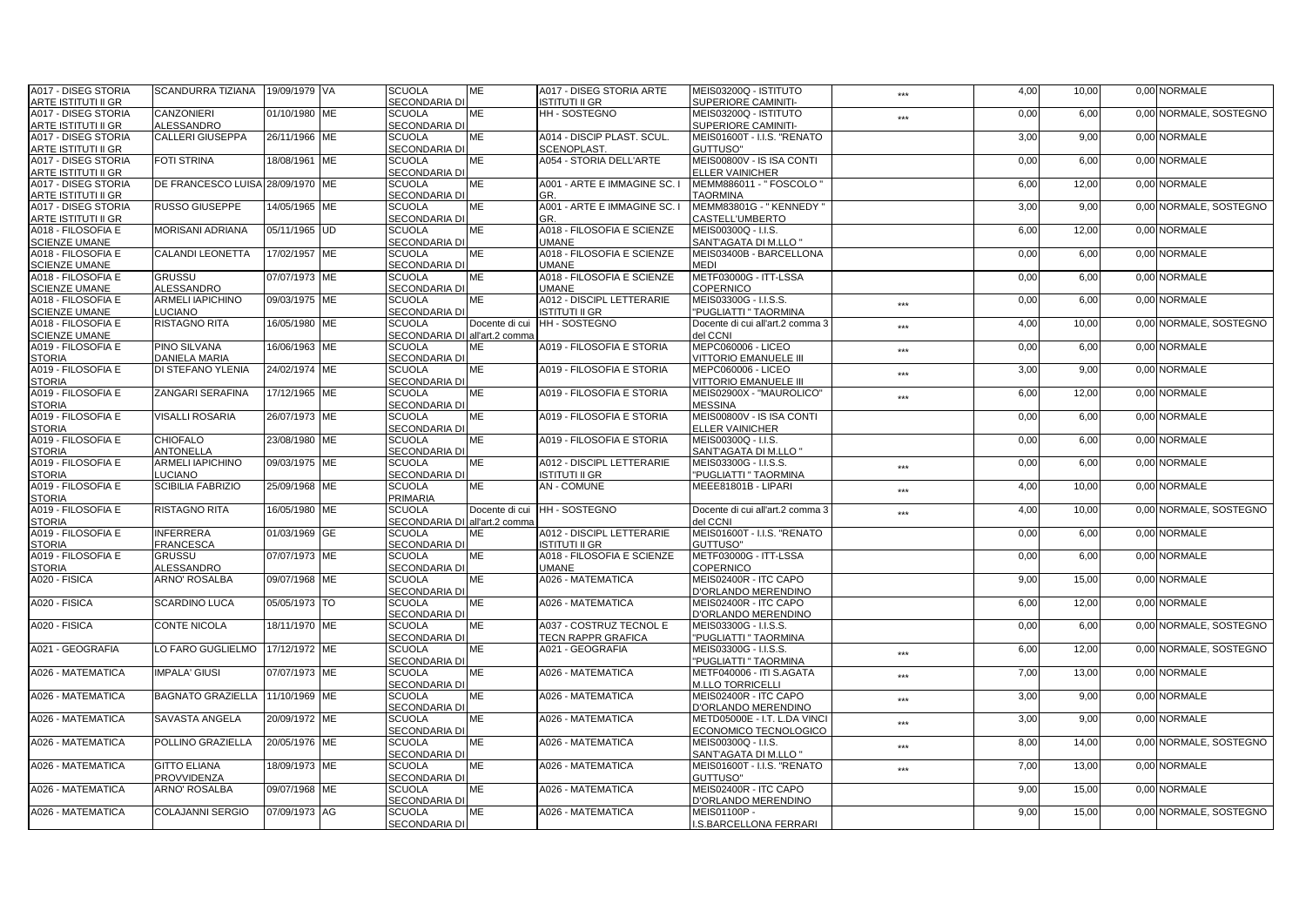| A017 - DISEG STORIA        | SCANDURRA TIZIANA                | 19/09/1979 VA | <b>SCUOLA</b>                         | ME             | A017 - DISEG STORIA ARTE     | MEIS03200Q - ISTITUTO                            | ***               | 4,00 | 10,00 | 0,00 NORMALE           |
|----------------------------|----------------------------------|---------------|---------------------------------------|----------------|------------------------------|--------------------------------------------------|-------------------|------|-------|------------------------|
| <b>ARTE ISTITUTI II GR</b> |                                  |               | <b>SECONDARIA DI</b>                  |                | ISTITUTI II GR               | SUPERIORE CAMINITI-                              |                   |      |       |                        |
| A017 - DISEG STORIA        | CANZONIERI                       | 01/10/1980 ME | <b>SCUOLA</b>                         | МE             | HH - SOSTEGNO                | MEIS03200Q - ISTITUTO                            | $***$             | 0,00 | 6,00  | 0,00 NORMALE, SOSTEGNO |
| <b>ARTE ISTITUTI II GR</b> | <b>ALESSANDRO</b>                |               | <b>SECONDARIA DI</b>                  |                |                              | SUPERIORE CAMINITI-                              |                   |      |       |                        |
| A017 - DISEG STORIA        | <b>CALLERI GIUSEPPA</b>          | 26/11/1966 ME | <b>SCUOLA</b>                         | <b>ME</b>      | A014 - DISCIP PLAST, SCUL.   | MEIS01600T - I.I.S. "RENATO                      |                   | 3,00 | 9,00  | 0.00 NORMALE           |
| <b>ARTE ISTITUTI II GR</b> |                                  |               | <b>SECONDARIA DI</b>                  |                | <b>SCENOPLAST</b>            | GUTTUSO"                                         |                   |      |       |                        |
| A017 - DISEG STORIA        | <b>FOTI STRINA</b>               | 18/08/1961 ME | <b>SCUOLA</b>                         | ME             | A054 - STORIA DELL'ARTE      | MEIS00800V - IS ISA CONTI                        |                   | 0,00 | 6,00  | 0.00 NORMALE           |
| <b>ARTE ISTITUTI II GR</b> |                                  |               | <b>SECONDARIA DI</b>                  |                |                              | <b>ELLER VAINICHER</b>                           |                   |      |       |                        |
| A017 - DISEG STORIA        | DE FRANCESCO LUISA 28/09/1970 ME |               | <b>SCUOLA</b>                         | МE             | A001 - ARTE E IMMAGINE SC.   | MEMM886011 - " FOSCOLO '                         |                   | 6,00 | 12,00 | 0,00 NORMALE           |
| <b>ARTE ISTITUTI II GR</b> |                                  |               | <b>SECONDARIA DI</b>                  |                | GR.                          | <b>TAORMINA</b>                                  |                   |      |       |                        |
| A017 - DISEG STORIA        | <b>RUSSO GIUSEPPE</b>            | 14/05/1965 ME | <b>SCUOLA</b>                         | ME             | A001 - ARTE E IMMAGINE SC. I | MEMM83801G - "KENNEDY"                           |                   | 3,00 | 9,00  | 0.00 NORMALE, SOSTEGNO |
| <b>ARTE ISTITUTI II GR</b> |                                  |               | <b>SECONDARIA DI</b>                  |                | GR.                          | CASTELL'UMBERTO                                  |                   |      |       |                        |
| A018 - FILOSOFIA E         | <b>MORISANI ADRIANA</b>          | 05/11/1965 UD | <b>SCUOLA</b>                         | ME             | A018 - FILOSOFIA E SCIENZE   | MEIS00300Q - I.I.S.                              |                   | 6,00 | 12,00 | 0.00 NORMALE           |
| <b>SCIENZE UMANE</b>       |                                  |               | <b>SECONDARIA DI</b>                  |                | UMANE                        |                                                  |                   |      |       |                        |
| A018 - FILOSOFIA E         | <b>CALANDI LEONETTA</b>          | 17/02/1957 ME | <b>SCUOLA</b>                         | МE             | A018 - FILOSOFIA E SCIENZE   | SANT'AGATA DI M.LLO "<br>MEIS03400B - BARCELLONA |                   | 0,00 | 6,00  | 0.00 NORMALE           |
|                            |                                  |               |                                       |                |                              |                                                  |                   |      |       |                        |
| <b>SCIENZE UMANE</b>       |                                  |               | <b>SECONDARIA DI</b><br><b>SCUOLA</b> |                | UMANE                        | MEDI                                             |                   |      |       | 0.00 NORMALE           |
| A018 - FILOSOFIA E         | <b>GRUSSU</b>                    | 07/07/1973 ME |                                       | ME             | A018 - FILOSOFIA E SCIENZE   | METF03000G - ITT-LSSA                            |                   | 0,00 | 6,00  |                        |
| <b>SCIENZE UMANE</b>       | <b>ALESSANDRO</b>                |               | <b>SECONDARIA DI</b>                  |                | UMANE                        | COPERNICO                                        |                   |      |       |                        |
| A018 - FILOSOFIA E         | ARMELI IAPICHINO                 | 09/03/1975 ME | <b>SCUOLA</b>                         | МE             | A012 - DISCIPL LETTERARIE    | MEIS03300G - I.I.S.S.                            | ***               | 0,00 | 6,00  | 0,00 NORMALE           |
| <b>SCIENZE UMANE</b>       | LUCIANO                          |               | <b>SECONDARIA DI</b>                  |                | <b>ISTITUTI II GR</b>        | "PUGLIATTI" TAORMINA                             |                   |      |       |                        |
| A018 - FILOSOFIA E         | <b>RISTAGNO RITA</b>             | 16/05/1980 ME | <b>SCUOLA</b>                         | Docente di cui | <b>HH-SOSTEGNO</b>           | Docente di cui all'art.2 comma 3                 | $***$             | 4,00 | 10,00 | 0.00 NORMALE, SOSTEGNO |
| <b>SCIENZE UMANE</b>       |                                  |               | SECONDARIA DI all'art.2 comma         |                |                              | del CCNI                                         |                   |      |       |                        |
| A019 - FILOSOFIA E         | <b>PINO SILVANA</b>              | 16/06/1963 ME | <b>SCUOLA</b>                         | <b>ME</b>      | A019 - FILOSOFIA E STORIA    | MEPC060006 - LICEO                               | ***               | 0,00 | 6,00  | 0.00 NORMALE           |
| <b>STORIA</b>              | <b>DANIELA MARIA</b>             |               | SECONDARIA DI                         |                |                              | <b>VITTORIO EMANUELE III</b>                     |                   |      |       |                        |
| A019 - FILOSOFIA E         | DI STEFANO YLENIA                | 24/02/1974 ME | <b>SCUOLA</b>                         | ME             | A019 - FILOSOFIA E STORIA    | <b>MEPC060006 - LICEO</b>                        | ***               | 3,00 | 9,00  | 0.00 NORMALE           |
| <b>STORIA</b>              |                                  |               | <b>SECONDARIA DI</b>                  |                |                              | <b>VITTORIO EMANUELE III</b>                     |                   |      |       |                        |
| A019 - FILOSOFIA E         | ZANGARI SERAFINA                 | 17/12/1965 ME | <b>SCUOLA</b>                         | ME             | A019 - FILOSOFIA E STORIA    | MEIS02900X - "MAUROLICO"                         | $***$             | 6,00 | 12,00 | 0,00 NORMALE           |
| <b>STORIA</b>              |                                  |               | <b>SECONDARIA DI</b>                  |                |                              | <b>MESSINA</b>                                   |                   |      |       |                        |
| A019 - FILOSOFIA E         | <b>VISALLI ROSARIA</b>           | 26/07/1973 ME | <b>SCUOLA</b>                         | ME             | A019 - FILOSOFIA E STORIA    | MEIS00800V - IS ISA CONTI                        |                   | 0,00 | 6,00  | 0.00 NORMALE           |
| <b>STORIA</b>              |                                  |               | SECONDARIA DI                         |                |                              | <b>ELLER VAINICHER</b>                           |                   |      |       |                        |
| A019 - FILOSOFIA E         | <b>CHIOFALO</b>                  | 23/08/1980 ME | <b>SCUOLA</b>                         | МE             | A019 - FILOSOFIA E STORIA    | MEIS00300Q - I.I.S.                              |                   | 0,00 | 6,00  | 0.00 NORMALE           |
| <b>STORIA</b>              | <b>ANTONELLA</b>                 |               | <b>SECONDARIA DI</b>                  |                |                              | SANT'AGATA DI M.LLO "                            |                   |      |       |                        |
| A019 - FILOSOFIA E         | ARMELI IAPICHINO                 | 09/03/1975 ME | <b>SCUOLA</b>                         | ME             | A012 - DISCIPL LETTERARIE    | MEIS03300G - I.I.S.S.                            | $***$             | 0,00 | 6,00  | 0,00 NORMALE           |
| <b>STORIA</b>              | LUCIANO                          |               | <b>SECONDARIA DI</b>                  |                | ISTITUTI II GR               | "PUGLIATTI " TAORMINA                            |                   |      |       |                        |
| A019 - FILOSOFIA E         | <b>SCIBILIA FABRIZIO</b>         | 25/09/1968 ME | <b>SCUOLA</b>                         | <b>ME</b>      | <b>AN-COMUNE</b>             | MEEE81801B - LIPARI                              | ***               | 4,00 | 10.00 | 0.00 NORMALE           |
| <b>STORIA</b>              |                                  |               | PRIMARIA                              |                |                              |                                                  |                   |      |       |                        |
| A019 - FILOSOFIA E         | <b>RISTAGNO RITA</b>             | 16/05/1980 ME | <b>SCUOLA</b>                         |                | Docente di cui HH - SOSTEGNO | Docente di cui all'art.2 comma 3                 | ***               | 4,00 | 10,00 | 0.00 NORMALE, SOSTEGNO |
| <b>STORIA</b>              |                                  |               | SECONDARIA DI all'art.2 comma         |                |                              | del CCNI                                         |                   |      |       |                        |
| A019 - FILOSOFIA E         | <b>INFERRERA</b>                 | 01/03/1969 GE | <b>SCUOLA</b>                         | ME             | A012 - DISCIPL LETTERARIE    | MEIS01600T - I.I.S. "RENATO                      |                   | 0,00 | 6,00  | 0,00 NORMALE           |
| <b>STORIA</b>              | <b>FRANCESCA</b>                 |               | <b>SECONDARIA DI</b>                  |                | <b>ISTITUTI II GR</b>        | GUTTUSO"                                         |                   |      |       |                        |
| A019 - FILOSOFIA E         | <b>GRUSSU</b>                    | 07/07/1973 ME | <b>SCUOLA</b>                         | ME             | A018 - FILOSOFIA E SCIENZE   | METF03000G - ITT-LSSA                            |                   | 0,00 | 6,00  | 0,00 NORMALE           |
| <b>STORIA</b>              | <b>ALESSANDRO</b>                |               | <b>SECONDARIA DI</b>                  |                | <b>UMANE</b>                 | COPERNICO                                        |                   |      |       |                        |
| A020 - FISICA              | <b>ARNO' ROSALBA</b>             | 09/07/1968 ME | <b>SCUOLA</b>                         | ME             | A026 - MATEMATICA            | MEIS02400R - ITC CAPO                            |                   | 9,00 | 15,00 | 0.00 NORMALE           |
|                            |                                  |               | <b>SECONDARIA DI</b>                  |                |                              | D'ORLANDO MERENDINO                              |                   |      |       |                        |
| A020 - FISICA              | <b>SCARDINO LUCA</b>             | 05/05/1973 TO | <b>SCUOLA</b>                         | ME             | A026 - MATEMATICA            | MEIS02400R - ITC CAPO                            |                   | 6,00 | 12,00 | 0,00 NORMALE           |
|                            |                                  |               | <b>SECONDARIA DI</b>                  |                |                              | D'ORLANDO MERENDINO                              |                   |      |       |                        |
| A020 - FISICA              | <b>CONTE NICOLA</b>              | 18/11/1970 ME | <b>SCUOLA</b>                         | ME             | A037 - COSTRUZ TECNOL E      | MEIS03300G - I.I.S.S.                            |                   | 0,00 | 6,00  | 0,00 NORMALE, SOSTEGNO |
|                            |                                  |               | <b>SECONDARIA DI</b>                  |                | <b>TECN RAPPR GRAFICA</b>    | "PUGLIATTI " TAORMINA                            |                   |      |       |                        |
| A021 - GEOGRAFIA           | LO FARO GUGLIELMO                | 17/12/1972 ME | <b>SCUOLA</b>                         | ME             | A021 - GEOGRAFIA             | MEIS03300G - I.I.S.S.                            |                   | 6,00 | 12,00 | 0,00 NORMALE, SOSTEGNO |
|                            |                                  |               | <b>SECONDARIA DI</b>                  |                |                              | "PUGLIATTI" TAORMINA                             | $***$             |      |       |                        |
|                            |                                  |               |                                       |                |                              |                                                  |                   |      |       |                        |
| A026 - MATEMATICA          | <b>IMPALA' GIUSI</b>             | 07/07/1973 ME | <b>SCUOLA</b>                         | ME             | A026 - MATEMATICA            | METF040006 - ITI S.AGATA                         | $\star\star\star$ | 7,00 | 13,00 | 0.00 NORMALE           |
|                            |                                  |               | <b>SECONDARIA DI</b>                  |                |                              | <b>M.LLO TORRICELLI</b>                          |                   |      |       |                        |
| A026 - MATEMATICA          | <b>BAGNATO GRAZIELLA</b>         | 11/10/1969 ME | <b>SCUOLA</b>                         | <b>ME</b>      | A026 - MATEMATICA            | MEIS02400R - ITC CAPO                            | ***               | 3,00 | 9.00  | 0.00 NORMALE           |
|                            |                                  |               | <b>SECONDARIA DI</b>                  |                |                              | D'ORLANDO MERENDINO                              |                   |      |       |                        |
| A026 - MATEMATICA          | <b>SAVASTA ANGELA</b>            | 20/09/1972 ME | <b>SCUOLA</b>                         | ME             | A026 - MATEMATICA            | METD05000E - I.T. L.DA VINCI                     | $***$             | 3,00 | 9,00  | 0,00 NORMALE           |
|                            |                                  |               | <b>SECONDARIA DI</b>                  |                |                              | ECONOMICO TECNOLOGICO                            |                   |      |       |                        |
| A026 - MATEMATICA          | POLLINO GRAZIELLA                | 20/05/1976 ME | <b>SCUOLA</b>                         | ME             | A026 - MATEMATICA            | MEIS00300Q - I.I.S.                              | $\star\star\star$ | 8,00 | 14,00 | 0,00 NORMALE, SOSTEGNO |
|                            |                                  |               | <b>SECONDARIA DI</b>                  |                |                              | SANT'AGATA DI M.LLO "                            |                   |      |       |                        |
| A026 - MATEMATICA          | <b>GITTO ELIANA</b>              | 18/09/1973 ME | <b>SCUOLA</b>                         | <b>ME</b>      | A026 - MATEMATICA            | MEIS01600T - I.I.S. "RENATO                      | ***               | 7,00 | 13,00 | 0.00 NORMALE           |
|                            | PROVVIDENZA                      |               | SECONDARIA DI                         |                |                              | GUTTUSO"                                         |                   |      |       |                        |
| A026 - MATEMATICA          | <b>ARNO' ROSALBA</b>             | 09/07/1968 ME | <b>SCUOLA</b>                         | ME             | A026 - MATEMATICA            | MEIS02400R - ITC CAPO                            |                   | 9,00 | 15,00 | 0.00 NORMALE           |
|                            |                                  |               | <b>SECONDARIA DI</b>                  |                |                              | D'ORLANDO MERENDINO                              |                   |      |       |                        |
| A026 - MATEMATICA          | COLAJANNI SERGIO                 | 07/09/1973 AG | <b>SCUOLA</b>                         | ME             | A026 - MATEMATICA            | MEIS01100P -                                     |                   | 9,00 | 15,00 | 0,00 NORMALE, SOSTEGNO |
|                            |                                  |               | SECONDARIA DI                         |                |                              | I.S.BARCELLONA FERRARI                           |                   |      |       |                        |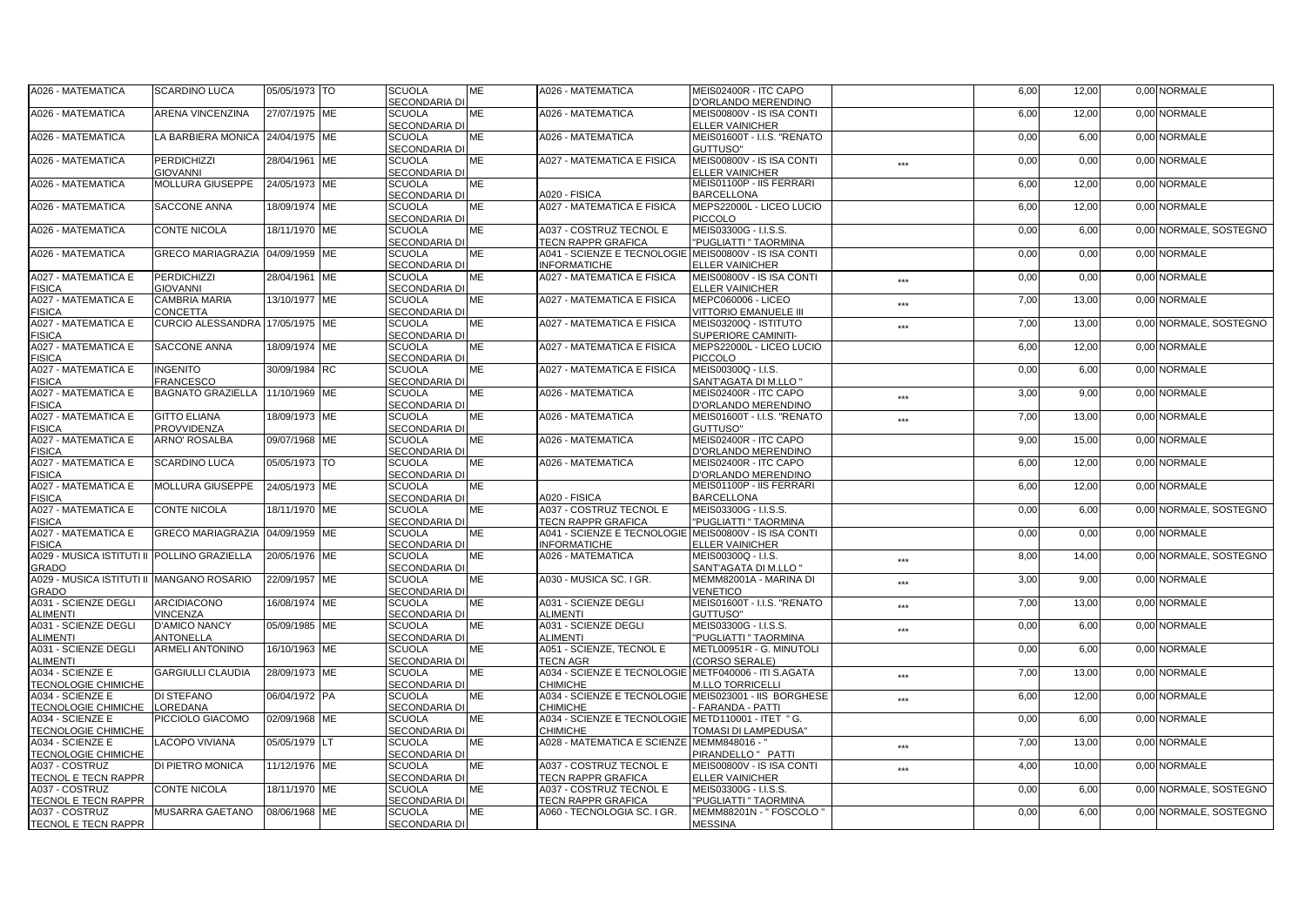| A026 - MATEMATICA                                         | <b>SCARDINO LUCA</b>                                | 05/05/1973 TO | <b>SCUOLA</b>                         | ME        | A026 - MATEMATICA                                     | MEIS02400R - ITC CAPO                                 |                   | 6,00 | 12,00 | 0,00 NORMALE           |
|-----------------------------------------------------------|-----------------------------------------------------|---------------|---------------------------------------|-----------|-------------------------------------------------------|-------------------------------------------------------|-------------------|------|-------|------------------------|
|                                                           |                                                     |               | <b>SECONDARIA DI</b>                  |           |                                                       | D'ORLANDO MERENDINO                                   |                   |      |       |                        |
| A026 - MATEMATICA                                         | ARENA VINCENZINA                                    | 27/07/1975 ME | <b>SCUOLA</b>                         | МE        | A026 - MATEMATICA                                     | MEIS00800V - IS ISA CONTI                             |                   | 6,00 | 12,00 | 0,00 NORMALE           |
|                                                           |                                                     |               | <b>SECONDARIA DI</b>                  |           |                                                       | <b>ELLER VAINICHER</b>                                |                   |      |       |                        |
| A026 - MATEMATICA                                         | LA BARBIERA MONICA                                  | 24/04/1975 ME | <b>SCUOLA</b>                         | <b>ME</b> | A026 - MATEMATICA                                     | MEIS01600T - I.I.S. "RENATO                           |                   | 0,00 | 6.00  | 0.00 NORMALE           |
|                                                           | <b>PERDICHIZZI</b>                                  |               | SECONDARIA DI                         | ME        |                                                       | <b>GUTTUSO"</b>                                       |                   |      |       | 0.00 NORMALE           |
| A026 - MATEMATICA                                         |                                                     | 28/04/1961 ME | <b>SCUOLA</b><br>SECONDARIA DI        |           | A027 - MATEMATICA E FISICA                            | MEIS00800V - IS ISA CONTI                             | ***               | 0,00 | 0,00  |                        |
| A026 - MATEMATICA                                         | <b>GIOVANNI</b><br>MOLLURA GIUSEPPE                 | 24/05/1973 ME | <b>SCUOLA</b>                         | MЕ        |                                                       | ELLER VAINICHER<br>MEIS01100P - IIS FERRARI           |                   | 6,00 | 12,00 | 0,00 NORMALE           |
|                                                           |                                                     |               | <b>SECONDARIA DI</b>                  |           | A020 - FISICA                                         | <b>BARCELLONA</b>                                     |                   |      |       |                        |
| A026 - MATEMATICA                                         | <b>SACCONE ANNA</b>                                 | 18/09/1974 ME | <b>SCUOLA</b>                         | MЕ        | A027 - MATEMATICA E FISICA                            | MEPS22000L - LICEO LUCIO                              |                   | 6,00 | 12,00 | 0,00 NORMALE           |
|                                                           |                                                     |               | <b>SECONDARIA DI</b>                  |           |                                                       | <b>PICCOLO</b>                                        |                   |      |       |                        |
| A026 - MATEMATICA                                         | <b>CONTE NICOLA</b>                                 | 18/11/1970 ME | <b>SCUOLA</b>                         | ME        | A037 - COSTRUZ TECNOL E                               | MEIS03300G - I.I.S.S.                                 |                   | 0,00 | 6.00  | 0.00 NORMALE, SOSTEGNO |
|                                                           |                                                     |               | SECONDARIA DI                         |           | <b>TECN RAPPR GRAFICA</b>                             | "PUGLIATTI" TAORMINA                                  |                   |      |       |                        |
| A026 - MATEMATICA                                         | GRECO MARIAGRAZIA 04/09/1959 ME                     |               | <b>SCUOLA</b>                         | МE        | A041 - SCIENZE E TECNOLOGIE MEIS00800V - IS ISA CONTI |                                                       |                   | 0,00 | 0,00  | 0,00 NORMALE           |
|                                                           |                                                     |               | <b>SECONDARIA DI</b>                  |           | <b>INFORMATICHE</b>                                   | ELLER VAINICHER                                       |                   |      |       |                        |
| A027 - MATEMATICA E                                       | <b>PERDICHIZZI</b>                                  | 28/04/1961 ME | <b>SCUOLA</b>                         | MЕ        | A027 - MATEMATICA E FISICA                            | MEIS00800V - IS ISA CONTI                             | $***$             | 0,00 | 0,00  | 0,00 NORMALE           |
| <b>FISICA</b>                                             | <b>GIOVANNI</b>                                     |               | <b>SECONDARIA DI</b>                  |           |                                                       | <b>ELLER VAINICHER</b>                                |                   |      |       |                        |
| A027 - MATEMATICA E                                       | CAMBRIA MARIA                                       | 13/10/1977 ME | <b>SCUOLA</b>                         | ME        | A027 - MATEMATICA E FISICA                            | MEPC060006 - LICEO                                    | ***               | 7,00 | 13,00 | 0,00 NORMALE           |
| <b>FISICA</b>                                             | CONCETTA                                            |               | <b>SECONDARIA DI</b>                  |           |                                                       | <b>VITTORIO EMANUELE III</b>                          |                   |      |       |                        |
| A027 - MATEMATICA E                                       | CURCIO ALESSANDRA 17/05/1975 ME                     |               | <b>SCUOLA</b>                         | МE        | <b>A027 - MATEMATICA E FISICA</b>                     | MEIS03200Q - ISTITUTO                                 | $\star\star\star$ | 7,00 | 13,00 | 0.00 NORMALE, SOSTEGNO |
| <b>FISICA</b>                                             |                                                     |               | <b>SECONDARIA DI</b>                  |           |                                                       | SUPERIORE CAMINITI-                                   |                   |      |       |                        |
| A027 - MATEMATICA E                                       | SACCONE ANNA                                        | 18/09/1974 ME | <b>SCUOLA</b>                         | MЕ        | <b>A027 - MATEMATICA E FISICA</b>                     | MEPS22000L - LICEO LUCIO                              |                   | 6,00 | 12,00 | 0,00 NORMALE           |
| <b>FISICA</b>                                             |                                                     |               | <b>SECONDARIA DI</b>                  |           |                                                       | <b>PICCOLO</b>                                        |                   |      |       |                        |
| A027 - MATEMATICA E                                       | <b>INGENITO</b>                                     | 30/09/1984 RC | <b>SCUOLA</b>                         | ME        | <b>A027 - MATEMATICA E FISICA</b>                     | MEIS00300Q - I.I.S.                                   |                   | 0,00 | 6,00  | 0,00 NORMALE           |
| <b>FISICA</b>                                             | <b>FRANCESCO</b><br>BAGNATO GRAZIELLA 11/10/1969 ME |               | <b>SECONDARIA DI</b>                  | МE        | A026 - MATEMATICA                                     | <b>SANT'AGATA DI M.LLO "</b><br>MEIS02400R - ITC CAPO |                   | 3,00 | 9.00  | 0.00 NORMALE           |
| A027 - MATEMATICA E<br><b>FISICA</b>                      |                                                     |               | <b>SCUOLA</b><br><b>SECONDARIA DI</b> |           |                                                       | D'ORLANDO MERENDINO                                   | ***               |      |       |                        |
| A027 - MATEMATICA E                                       | <b>GITTO ELIANA</b>                                 | 18/09/1973 ME | <b>SCUOLA</b>                         | ME        | A026 - MATEMATICA                                     | MEIS01600T - I.I.S. "RENATO                           |                   | 7,00 | 13,00 | 0,00 NORMALE           |
| <b>FISICA</b>                                             | <b>PROVVIDENZA</b>                                  |               | SECONDARIA DI                         |           |                                                       | GUTTUSO"                                              | ***               |      |       |                        |
| A027 - MATEMATICA E                                       | <b>ARNO' ROSALBA</b>                                | 09/07/1968 ME | <b>SCUOLA</b>                         | ME        | A026 - MATEMATICA                                     | MEIS02400R - ITC CAPO                                 |                   | 9,00 | 15,00 | 0.00 NORMALE           |
| <b>FISICA</b>                                             |                                                     |               | SECONDARIA DI                         |           |                                                       | <b>D'ORLANDO MERENDINO</b>                            |                   |      |       |                        |
| A027 - MATEMATICA E                                       | <b>SCARDINO LUCA</b>                                | 05/05/1973 TO | <b>SCUOLA</b>                         | MЕ        | A026 - MATEMATICA                                     | MEIS02400R - ITC CAPO                                 |                   | 6,00 | 12,00 | 0,00 NORMALE           |
| <b>FISICA</b>                                             |                                                     |               | <b>SECONDARIA DI</b>                  |           |                                                       | <b>D'ORLANDO MERENDINO</b>                            |                   |      |       |                        |
| A027 - MATEMATICA E                                       | <b>MOLLURA GIUSEPPE</b>                             | 24/05/1973 ME | <b>SCUOLA</b>                         | ME        |                                                       | MEIS01100P - IIS FERRARI                              |                   | 6,00 | 12,00 | 0,00 NORMALE           |
| <b>FISICA</b>                                             |                                                     |               | SECONDARIA DI                         |           | A020 - FISICA                                         | <b>BARCELLONA</b>                                     |                   |      |       |                        |
| A027 - MATEMATICA E                                       | <b>CONTE NICOLA</b>                                 | 18/11/1970 ME | <b>SCUOLA</b>                         | МE        | A037 - COSTRUZ TECNOL E                               | MEIS03300G - I.I.S.S.                                 |                   | 0,00 | 6,00  | 0.00 NORMALE, SOSTEGNO |
| <b>FISICA</b>                                             |                                                     |               | <b>SECONDARIA DI</b>                  |           | <b>TECN RAPPR GRAFICA</b>                             | "PUGLIATTI " TAORMINA                                 |                   |      |       |                        |
| A027 - MATEMATICA E                                       | GRECO MARIAGRAZIA 04/09/1959 ME                     |               | <b>SCUOLA</b>                         | МE        | A041 - SCIENZE E TECNOLOGIE MEIS00800V - IS ISA CONTI |                                                       |                   | 0,00 | 0,00  | 0,00 NORMALE           |
| <b>FISICA</b>                                             |                                                     |               | <b>SECONDARIA DI</b>                  |           | <b>INFORMATICHE</b>                                   | <b>ELLER VAINICHER</b>                                |                   |      |       |                        |
| A029 - MUSICA ISTITUTI II POLLINO GRAZIELLA               |                                                     | 20/05/1976 ME | <b>SCUOLA</b><br>SECONDARIA DI        | ME        | A026 - MATEMATICA                                     | MEIS00300Q - I.I.S.                                   | ***               | 8,00 | 14,00 | 0,00 NORMALE, SOSTEGNO |
| <b>GRADO</b><br>A029 - MUSICA ISTITUTI II MANGANO ROSARIO |                                                     | 22/09/1957 ME | <b>SCUOLA</b>                         | <b>ME</b> | A030 - MUSICA SC. I GR.                               | SANT'AGATA DI M.LLO "<br>MEMM82001A - MARINA DI       |                   | 3,00 | 9.00  | 0.00 NORMALE           |
| <b>GRADO</b>                                              |                                                     |               | <b>SECONDARIA DI</b>                  |           |                                                       | VENETICO                                              | ***               |      |       |                        |
| A031 - SCIENZE DEGLI                                      | <b>ARCIDIACONO</b>                                  | 16/08/1974 ME | <b>SCUOLA</b>                         | МE        | A031 - SCIENZE DEGLI                                  | MEIS01600T - I.I.S. "RENATO                           |                   | 7,00 | 13,00 | 0,00 NORMALE           |
| <b>ALIMENTI</b>                                           | <b>VINCENZA</b>                                     |               | <b>SECONDARIA DI</b>                  |           | <b>ALIMENTI</b>                                       | GUTTUSO"                                              | ***               |      |       |                        |
| A031 - SCIENZE DEGLI                                      | <b>D'AMICO NANCY</b>                                | 05/09/1985 ME | <b>SCUOLA</b>                         | ME        | A031 - SCIENZE DEGLI                                  | MEIS03300G - I.I.S.S.                                 | ***               | 0,00 | 6,00  | 0,00 NORMALE           |
| <b>ALIMENTI</b>                                           | <b>ANTONELLA</b>                                    |               | <b>SECONDARIA DI</b>                  |           | <b>ALIMENTI</b>                                       | "PUGLIATTI " TAORMINA                                 |                   |      |       |                        |
| A031 - SCIENZE DEGLI                                      | <b>ARMELI ANTONINO</b>                              | 16/10/1963 ME | <b>SCUOLA</b>                         | МE        | A051 - SCIENZE, TECNOL E                              | METL00951R - G. MINUTOLI                              |                   | 0,00 | 6,00  | 0,00 NORMALE           |
| <b>ALIMENTI</b>                                           |                                                     |               | <b>SECONDARIA DI</b>                  |           | <b>TECN AGR</b>                                       | (CORSO SERALE)                                        |                   |      |       |                        |
| A034 - SCIENZE E                                          | <b>GARGIULLI CLAUDIA</b>                            | 28/09/1973 ME | <b>SCUOLA</b>                         | МE        | A034 - SCIENZE E TECNOLOGIE METF040006 - ITI S.AGATA  |                                                       | ***               | 7,00 | 13,00 | 0,00 NORMALE           |
| <b>TECNOLOGIE CHIMICHE</b>                                |                                                     |               | <b>SECONDARIA DI</b>                  |           | <b>CHIMICHE</b>                                       | <b>M.LLO TORRICELLI</b>                               |                   |      |       |                        |
| A034 - SCIENZE E                                          | DI STEFANO                                          | 06/04/1972 PA | <b>SCUOLA</b>                         | ME        | A034 - SCIENZE E TECNOLOGIE MEIS023001 - IIS BORGHESE |                                                       | ***               | 6,00 | 12,00 | 0,00 NORMALE           |
| <b>TECNOLOGIE CHIMICHE</b>                                | LOREDANA                                            |               | <b>SECONDARIA DI</b>                  |           | CHIMICHE                                              | FARANDA - PATTI                                       |                   |      |       |                        |
| A034 - SCIENZE E                                          | PICCIOLO GIACOMO                                    | 02/09/1968 ME | <b>SCUOLA</b>                         | ME        | A034 - SCIENZE E TECNOLOGIE METD110001 - ITET "G.     |                                                       |                   | 0,00 | 6,00  | 0,00 NORMALE           |
| <b>TECNOLOGIE CHIMICHE</b>                                |                                                     |               | <b>SECONDARIA DI</b>                  |           | <b>CHIMICHE</b>                                       | <b>TOMASI DI LAMPEDUSA"</b>                           |                   |      |       |                        |
| A034 - SCIENZE E                                          | LACOPO VIVIANA                                      | 05/05/1979 LT | <b>SCUOLA</b>                         | MЕ        | A028 - MATEMATICA E SCIENZE MEMM848016 - "            |                                                       | ***               | 7,00 | 13,00 | 0,00 NORMALE           |
| <b>TECNOLOGIE CHIMICHE</b>                                |                                                     |               | <b>SECONDARIA DI</b>                  |           |                                                       | PIRANDELLO " PATTI                                    |                   |      |       |                        |
| A037 - COSTRUZ<br>TECNOL E TECN RAPPR                     | DI PIETRO MONICA                                    | 11/12/1976 ME | <b>SCUOLA</b><br>SECONDARIA DI        | ME        | A037 - COSTRUZ TECNOL E<br><b>TECN RAPPR GRAFICA</b>  | MEIS00800V - IS ISA CONTI<br>ELLER VAINICHER          | ***               | 4,00 | 10,00 | 0,00 NORMALE           |
| A037 - COSTRUZ                                            | <b>CONTE NICOLA</b>                                 | 18/11/1970 ME | <b>SCUOLA</b>                         | ME        | A037 - COSTRUZ TECNOL E                               | MEIS03300G - I.I.S.S.                                 |                   | 0,00 | 6,00  | 0.00 NORMALE, SOSTEGNO |
| <b>TECNOL E TECN RAPPR</b>                                |                                                     |               | <b>SECONDARIA DI</b>                  |           | <b>TECN RAPPR GRAFICA</b>                             | "PUGLIATTI " TAORMINA                                 |                   |      |       |                        |
| A037 - COSTRUZ                                            | MUSARRA GAETANO                                     | 08/06/1968 ME | <b>SCUOLA</b>                         | MЕ        | A060 - TECNOLOGIA SC. I GR.                           | MEMM88201N - " FOSCOLO '                              |                   | 0,00 | 6,00  | 0,00 NORMALE, SOSTEGNO |
| TECNOL E TECN RAPPR                                       |                                                     |               | <b>SECONDARIA DI</b>                  |           |                                                       | <b>MESSINA</b>                                        |                   |      |       |                        |
|                                                           |                                                     |               |                                       |           |                                                       |                                                       |                   |      |       |                        |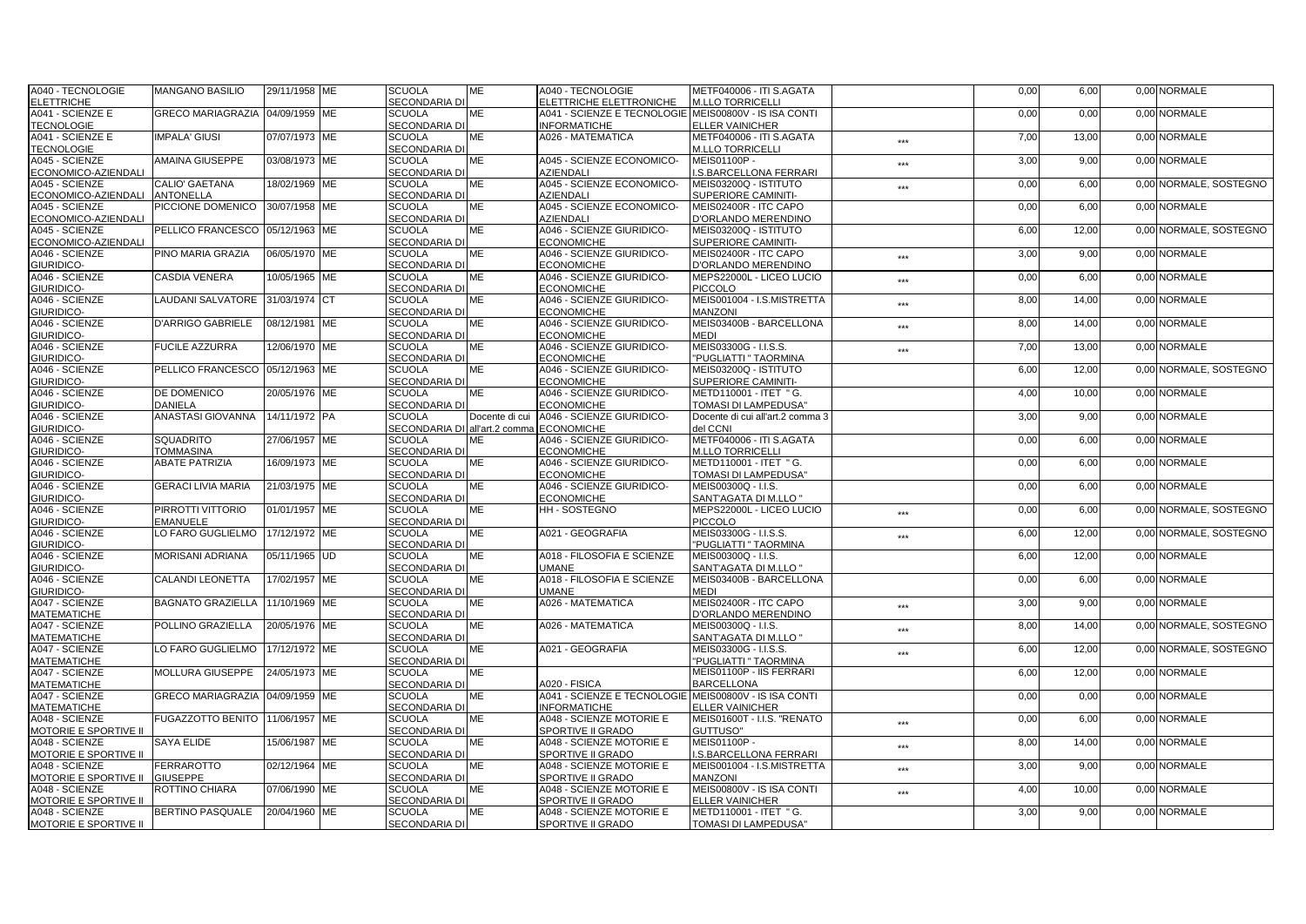| A040 - TECNOLOGIE                   | <b>MANGANO BASILIO</b>          | 29/11/1958 ME | <b>SCUOLA</b>                  | ME             | A040 - TECNOLOGIE                                     | METF040006 - ITI S.AGATA                       |                   | 0,00 | 6,00  | 0,00 NORMALE           |
|-------------------------------------|---------------------------------|---------------|--------------------------------|----------------|-------------------------------------------------------|------------------------------------------------|-------------------|------|-------|------------------------|
| <b>ELETTRICHE</b>                   |                                 |               | SECONDARIA DI                  |                | ELETTRICHE ELETTRONICHE                               | <b>M.LLO TORRICELLI</b>                        |                   |      |       |                        |
| A041 - SCIENZE E                    | <b>GRECO MARIAGRAZIA</b>        | 04/09/1959 ME | <b>SCUOLA</b>                  | MЕ             | A041 - SCIENZE E TECNOLOGIE MEIS00800V - IS ISA CONTI |                                                |                   | 0,00 | 0,00  | 0,00 NORMALE           |
| <b>TECNOLOGIE</b>                   |                                 |               | <b>SECONDARIA DI</b>           |                | <b>INFORMATICHE</b>                                   | <b>ELLER VAINICHER</b>                         |                   |      |       |                        |
| A041 - SCIENZE E                    | <b>IMPALA' GIUSI</b>            | 07/07/1973 ME | <b>SCUOLA</b>                  | <b>ME</b>      | A026 - MATEMATICA                                     | METF040006 - ITI S.AGATA                       | ***               | 7,00 | 13.00 | 0.00 NORMALE           |
| <b>TECNOLOGIE</b>                   |                                 |               | SECONDARIA DI                  |                |                                                       | <b>M.LLO TORRICELLI</b>                        |                   |      |       |                        |
| A045 - SCIENZE                      | AMAINA GIUSEPPE                 | 03/08/1973 ME | <b>SCUOLA</b>                  | МE             | A045 - SCIENZE ECONOMICO-                             | MEIS01100P -                                   | ***               | 3,00 | 9,00  | 0.00 NORMALE           |
| ECONOMICO-AZIENDALI                 |                                 |               | SECONDARIA DI                  |                | AZIENDALI                                             | <b>I.S.BARCELLONA FERRARI</b>                  |                   |      |       |                        |
| A045 - SCIENZE                      | CALIO' GAETANA                  | 18/02/1969 ME | <b>SCUOLA</b>                  | MЕ             | A045 - SCIENZE ECONOMICO-                             | MEIS03200Q - ISTITUTO                          | $***$             | 0,00 | 6,00  | 0,00 NORMALE, SOSTEGNO |
| ECONOMICO-AZIENDALI                 | <b>ANTONELLA</b>                |               | <b>SECONDARIA DI</b>           |                | <b>AZIENDALI</b>                                      | SUPERIORE CAMINITI-                            |                   |      |       |                        |
| A045 - SCIENZE                      | PICCIONE DOMENICO 30/07/1958 ME |               | <b>SCUOLA</b>                  | <b>ME</b>      | A045 - SCIENZE ECONOMICO-                             | MEIS02400R - ITC CAPO                          |                   | 0,00 | 6.00  | 0.00 NORMALE           |
| ECONOMICO-AZIENDALI                 |                                 |               | SECONDARIA DI                  |                | AZIENDALI                                             | D'ORLANDO MERENDINO                            |                   |      |       |                        |
| A045 - SCIENZE                      | PELLICO FRANCESCO 05/12/1963 ME |               | <b>SCUOLA</b>                  | ME             | A046 - SCIENZE GIURIDICO-                             | MEIS03200Q - ISTITUTO                          |                   | 6,00 | 12,00 | 0.00 NORMALE, SOSTEGNO |
| ECONOMICO-AZIENDALI                 |                                 |               | SECONDARIA DI                  |                | <b>ECONOMICHE</b>                                     | SUPERIORE CAMINITI-                            |                   |      |       |                        |
| A046 - SCIENZE                      | PINO MARIA GRAZIA               | 06/05/1970 ME | <b>SCUOLA</b>                  | MЕ             | A046 - SCIENZE GIURIDICO-                             | MEIS02400R - ITC CAPO                          |                   | 3,00 | 9,00  | 0,00 NORMALE           |
| GIURIDICO-                          |                                 |               | SECONDARIA DI                  |                | <b>ECONOMICHE</b>                                     | D'ORLANDO MERENDINO                            | $***$             |      |       |                        |
| A046 - SCIENZE                      | CASDIA VENERA                   | 10/05/1965 ME | <b>SCUOLA</b>                  | ME             | A046 - SCIENZE GIURIDICO-                             | MEPS22000L - LICEO LUCIO                       |                   | 0,00 | 6,00  | 0,00 NORMALE           |
| <b>GIURIDICO-</b>                   |                                 |               | SECONDARIA DI                  |                | <b>ECONOMICHE</b>                                     | <b>PICCOLO</b>                                 | ***               |      |       |                        |
| A046 - SCIENZE                      | LAUDANI SALVATORE 31/03/1974 CT |               | <b>SCUOLA</b>                  | ME             | A046 - SCIENZE GIURIDICO-                             | MEIS001004 - I.S.MISTRETTA                     |                   | 8,00 | 14.00 | 0.00 NORMALE           |
| <b>GIURIDICO-</b>                   |                                 |               | <b>SECONDARIA DI</b>           |                | <b>ECONOMICHE</b>                                     | <b>MANZONI</b>                                 | ***               |      |       |                        |
| A046 - SCIENZE                      | D'ARRIGO GABRIELE               | 08/12/1981 ME | <b>SCUOLA</b>                  | MЕ             | A046 - SCIENZE GIURIDICO-                             | MEIS03400B - BARCELLONA                        |                   | 8,00 | 14,00 | 0,00 NORMALE           |
| GIURIDICO-                          |                                 |               | <b>SECONDARIA DI</b>           |                | <b>ECONOMICHE</b>                                     | <b>MEDI</b>                                    | ***               |      |       |                        |
| A046 - SCIENZE                      | <b>FUCILE AZZURRA</b>           | 12/06/1970 ME | <b>SCUOLA</b>                  | ME             | A046 - SCIENZE GIURIDICO-                             | MEIS03300G - I.I.S.S.                          |                   | 7,00 | 13,00 | 0,00 NORMALE           |
|                                     |                                 |               |                                |                |                                                       |                                                | ***               |      |       |                        |
| <b>GIURIDICO-</b><br>A046 - SCIENZE |                                 |               | SECONDARIA DI<br><b>SCUOLA</b> | ME             | <b>ECONOMICHE</b><br>A046 - SCIENZE GIURIDICO-        | "PUGLIATTI " TAORMINA<br>MEIS03200Q - ISTITUTO |                   |      |       | 0.00 NORMALE, SOSTEGNO |
|                                     | PELLICO FRANCESCO 05/12/1963 ME |               |                                |                |                                                       |                                                |                   | 6,00 | 12,00 |                        |
| <b>GIURIDICO-</b>                   |                                 |               | <b>SECONDARIA DI</b>           |                | <b>ECONOMICHE</b>                                     | SUPERIORE CAMINITI-                            |                   |      |       |                        |
| A046 - SCIENZE                      | DE DOMENICO                     | 20/05/1976 ME | <b>SCUOLA</b>                  | MЕ             | A046 - SCIENZE GIURIDICO-                             | METD110001 - ITET " G.                         |                   | 4,00 | 10,00 | 0,00 NORMALE           |
| GIURIDICO-                          | <b>DANIELA</b>                  |               | <b>SECONDARIA DI</b>           |                | <b>ECONOMICHE</b>                                     | TOMASI DI LAMPEDUSA"                           |                   |      |       |                        |
| A046 - SCIENZE                      | ANASTASI GIOVANNA               | 14/11/1972 PA | <b>SCUOLA</b>                  | Docente di cui | A046 - SCIENZE GIURIDICO-                             | Docente di cui all'art.2 comma 3               |                   | 3,00 | 9,00  | 0,00 NORMALE           |
| <b>GIURIDICO-</b>                   |                                 |               | SECONDARIA DI all'art.2 comma  |                | <b>ECONOMICHE</b>                                     | del CCNI                                       |                   |      |       |                        |
| A046 - SCIENZE                      | <b>SQUADRITO</b>                | 27/06/1957 ME | <b>SCUOLA</b>                  | МE             | A046 - SCIENZE GIURIDICO-                             | METF040006 - ITI S.AGATA                       |                   | 0,00 | 6,00  | 0.00 NORMALE           |
| GIURIDICO-                          | <b>TOMMASINA</b>                |               | <b>SECONDARIA DI</b>           |                | <b>ECONOMICHE</b>                                     | <b>M.LLO TORRICELLI</b>                        |                   |      |       |                        |
| A046 - SCIENZE                      | <b>ABATE PATRIZIA</b>           | 16/09/1973 ME | <b>SCUOLA</b>                  | MЕ             | A046 - SCIENZE GIURIDICO-                             | METD110001 - ITET " G.                         |                   | 0,00 | 6,00  | 0,00 NORMALE           |
| GIURIDICO-                          |                                 |               | <b>SECONDARIA DI</b>           |                | <b>ECONOMICHE</b>                                     | TOMASI DI LAMPEDUSA"                           |                   |      |       |                        |
| A046 - SCIENZE                      | <b>GERACI LIVIA MARIA</b>       | 21/03/1975 ME | <b>SCUOLA</b>                  | ME             | A046 - SCIENZE GIURIDICO-                             | MEIS00300Q - I.I.S.                            |                   | 0,00 | 6,00  | 0,00 NORMALE           |
| GIURIDICO-                          |                                 |               | <b>SECONDARIA DI</b>           |                | <b>ECONOMICHE</b>                                     | SANT'AGATA DI M.LLO "                          |                   |      |       |                        |
| A046 - SCIENZE                      | PIRROTTI VITTORIO               | 01/01/1957 ME | <b>SCUOLA</b>                  | ME             | HH - SOSTEGNO                                         | MEPS22000L - LICEO LUCIO                       | ***               | 0,00 | 6,00  | 0,00 NORMALE, SOSTEGNO |
| GIURIDICO-                          | EMANUELE                        |               | <b>SECONDARIA DI</b>           |                |                                                       | PICCOLO                                        |                   |      |       |                        |
| A046 - SCIENZE                      | LO FARO GUGLIELMO               | 17/12/1972 ME | <b>SCUOLA</b>                  | MЕ             | A021 - GEOGRAFIA                                      | MEIS03300G - I.I.S.S.                          | ***               | 6,00 | 12,00 | 0.00 NORMALE, SOSTEGNO |
| GIURIDICO-                          |                                 |               | <b>SECONDARIA DI</b>           |                |                                                       | "PUGLIATTI " TAORMINA                          |                   |      |       |                        |
| A046 - SCIENZE                      | <b>MORISANI ADRIANA</b>         | 05/11/1965 UD | <b>SCUOLA</b>                  | <b>ME</b>      | A018 - FILOSOFIA E SCIENZE                            | MEIS00300Q - I.I.S.                            |                   | 6,00 | 12,00 | 0,00 NORMALE           |
| GIURIDICO-                          |                                 |               | <b>SECONDARIA DI</b>           |                | <b>JMANE</b>                                          | SANT'AGATA DI M.LLO "                          |                   |      |       |                        |
| A046 - SCIENZE                      | <b>CALANDI LEONETTA</b>         | 17/02/1957 ME | <b>SCUOLA</b>                  | МE             | A018 - FILOSOFIA E SCIENZE                            | MEIS03400B - BARCELLONA                        |                   | 0,00 | 6,00  | 0.00 NORMALE           |
| GIURIDICO-                          |                                 |               | <b>SECONDARIA DI</b>           |                | <b>JMANE</b>                                          | <b>MEDI</b>                                    |                   |      |       |                        |
| A047 - SCIENZE                      | <b>BAGNATO GRAZIELLA</b>        | 11/10/1969 ME | <b>SCUOLA</b>                  | MЕ             | A026 - MATEMATICA                                     | MEIS02400R - ITC CAPO                          | ***               | 3,00 | 9,00  | 0.00 NORMALE           |
| <b>MATEMATICHE</b>                  |                                 |               | <b>SECONDARIA DI</b>           |                |                                                       | D'ORLANDO MERENDINO                            |                   |      |       |                        |
| A047 - SCIENZE                      | POLLINO GRAZIELLA               | 20/05/1976 ME | <b>SCUOLA</b>                  | МE             | A026 - MATEMATICA                                     | MEIS00300Q - I.I.S.                            | $***$             | 8,00 | 14,00 | 0,00 NORMALE, SOSTEGNO |
| <b>MATEMATICHE</b>                  |                                 |               | SECONDARIA DI                  |                |                                                       | SANT'AGATA DI M.LLO "                          |                   |      |       |                        |
| A047 - SCIENZE                      | LO FARO GUGLIELMO               | 17/12/1972 ME | <b>SCUOLA</b>                  | ME             | A021 - GEOGRAFIA                                      | MEIS03300G - I.I.S.S.                          | $***$             | 6,00 | 12,00 | 0,00 NORMALE, SOSTEGNO |
| <b>MATEMATICHE</b>                  |                                 |               | SECONDARIA DI                  |                |                                                       | "PUGLIATTI " TAORMINA                          |                   |      |       |                        |
| A047 - SCIENZE                      | MOLLURA GIUSEPPE                | 24/05/1973 ME | <b>SCUOLA</b>                  | MЕ             |                                                       | MEIS01100P - IIS FERRARI                       |                   | 6,00 | 12,00 | 0,00 NORMALE           |
| <b>MATEMATICHE</b>                  |                                 |               | <b>SECONDARIA DI</b>           |                | 4020 - FISICA                                         | <b>BARCELLONA</b>                              |                   |      |       |                        |
| A047 - SCIENZE                      | <b>GRECO MARIAGRAZIA</b>        | 04/09/1959 ME | <b>SCUOLA</b>                  | ME             | A041 - SCIENZE E TECNOLOGIE MEIS00800V - IS ISA CONTI |                                                |                   | 0,00 | 0.00  | 0.00 NORMALE           |
| <b>MATEMATICHE</b>                  |                                 |               | SECONDARIA DI                  |                | <b>NFORMATICHE</b>                                    | <b>ELLER VAINICHER</b>                         |                   |      |       |                        |
| A048 - SCIENZE                      | FUGAZZOTTO BENITO 11/06/1957 ME |               | <b>SCUOLA</b>                  | ME             | A048 - SCIENZE MOTORIE E                              | MEIS01600T - I.I.S. "RENATO                    | $***$             | 0,00 | 6,00  | 0.00 NORMALE           |
| MOTORIE E SPORTIVE II               |                                 |               | SECONDARIA DI                  |                | <b>SPORTIVE II GRADO</b>                              | GUTTUSO"                                       |                   |      |       |                        |
| A048 - SCIENZE                      | SAYA ELIDE                      | 15/06/1987 ME | <b>SCUOLA</b>                  | MЕ             | A048 - SCIENZE MOTORIE E                              | MEIS01100P -                                   |                   | 8,00 | 14,00 | 0,00 NORMALE           |
| <b>MOTORIE E SPORTIVE II</b>        |                                 |               | <b>SECONDARIA DI</b>           |                | <b>SPORTIVE II GRADO</b>                              | <b>I.S.BARCELLONA FERRARI</b>                  | $\star\star\star$ |      |       |                        |
| A048 - SCIENZE                      | <b>FERRAROTTO</b>               | 02/12/1964 ME | <b>SCUOLA</b>                  | ME             | A048 - SCIENZE MOTORIE E                              | MEIS001004 - I.S.MISTRETTA                     |                   | 3,00 | 9.00  | 0.00 NORMALE           |
| MOTORIE E SPORTIVE II               | <b>GIUSEPPE</b>                 |               | SECONDARIA DI                  |                | <b>SPORTIVE II GRADO</b>                              | MANZONI                                        | ***               |      |       |                        |
| A048 - SCIENZE                      | ROTTINO CHIARA                  | 07/06/1990 ME | <b>SCUOLA</b>                  | МE             | A048 - SCIENZE MOTORIE E                              | MEIS00800V - IS ISA CONTI                      |                   | 4,00 | 10,00 | 0.00 NORMALE           |
| <b>MOTORIE E SPORTIVE II</b>        |                                 |               | SECONDARIA DI                  |                | <b>SPORTIVE II GRADO</b>                              | <b>ELLER VAINICHER</b>                         | ***               |      |       |                        |
| A048 - SCIENZE                      | BERTINO PASQUALE                | 20/04/1960 ME | <b>SCUOLA</b>                  | МE             | A048 - SCIENZE MOTORIE E                              | METD110001 - ITET " G.                         |                   | 3,00 | 9,00  | 0,00 NORMALE           |
| MOTORIE E SPORTIVE II               |                                 |               | <b>SECONDARIA DI</b>           |                | <b>SPORTIVE II GRADO</b>                              | TOMASI DI LAMPEDUSA"                           |                   |      |       |                        |
|                                     |                                 |               |                                |                |                                                       |                                                |                   |      |       |                        |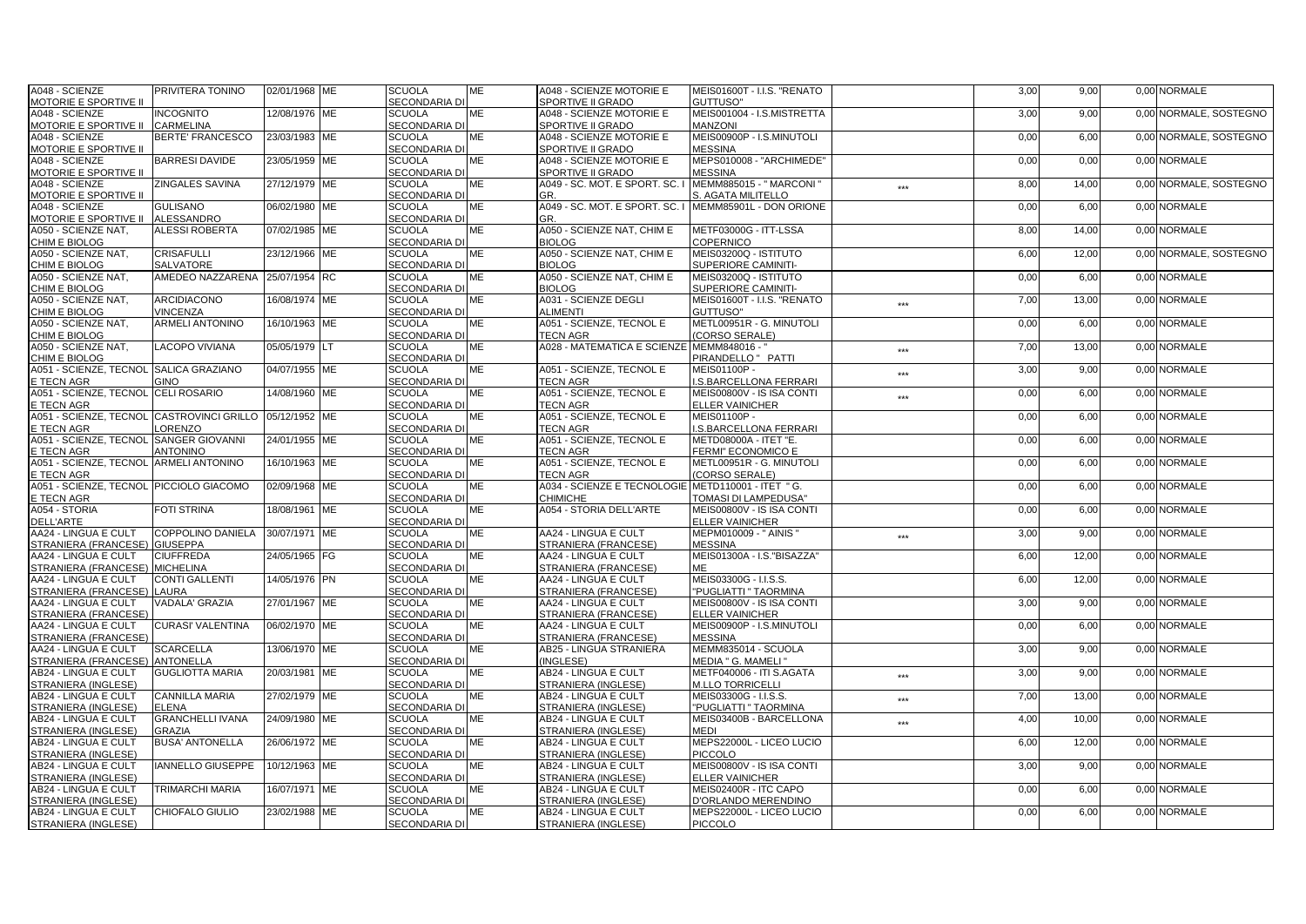| A048 - SCIENZE                                          | PRIVITERA TONINO                  | 02/01/1968 ME | <b>SCUOLA</b>                  | <b>ME</b> | A048 - SCIENZE MOTORIE E                           | MEIS01600T - I.I.S. "RENATO                    |        | 3,00 | 9,00  | 0,00 NORMALE           |
|---------------------------------------------------------|-----------------------------------|---------------|--------------------------------|-----------|----------------------------------------------------|------------------------------------------------|--------|------|-------|------------------------|
| <b>MOTORIE E SPORTIVE II</b>                            |                                   |               | <b>SECONDARIA DI</b>           |           | SPORTIVE II GRADO                                  | GUTTUSO"                                       |        |      |       |                        |
| A048 - SCIENZE                                          | <b>INCOGNITO</b>                  | 12/08/1976 ME | <b>SCUOLA</b>                  | MЕ        | A048 - SCIENZE MOTORIE E                           | MEIS001004 - I.S.MISTRETTA                     |        | 3,00 | 9,00  | 0,00 NORMALE, SOSTEGNO |
| MOTORIE E SPORTIVE II                                   | CARMELINA                         |               | SECONDARIA DI                  |           | <b>SPORTIVE II GRADO</b>                           | <b>MANZONI</b>                                 |        |      |       |                        |
| A048 - SCIENZE                                          | <b>BERTE' FRANCESCO</b>           | 23/03/1983 ME | <b>SCUOLA</b>                  | <b>ME</b> | A048 - SCIENZE MOTORIE E                           | MEIS00900P - I.S.MINUTOLI                      |        | 0.00 | 6.00  | 0.00 NORMALE, SOSTEGNO |
| MOTORIE E SPORTIVE II                                   |                                   |               | SECONDARIA DI                  |           | SPORTIVE II GRADO                                  | <b>MESSINA</b>                                 |        |      |       |                        |
| A048 - SCIENZE                                          | <b>BARRESI DAVIDE</b>             | 23/05/1959 ME | <b>SCUOLA</b>                  | <b>ME</b> | A048 - SCIENZE MOTORIE E                           | MEPS010008 - "ARCHIMEDE"                       |        | 0,00 | 0,00  | 0.00 NORMALE           |
| MOTORIE E SPORTIVE II                                   |                                   |               | SECONDARIA DI                  |           | SPORTIVE II GRADO                                  | <b>MESSINA</b>                                 |        |      |       |                        |
| A048 - SCIENZE                                          | ZINGALES SAVINA                   | 27/12/1979 ME | <b>SCUOLA</b>                  | MЕ        | A049 - SC. MOT. E SPORT. SC.                       | <b>MEMM885015 - " MARCONI</b>                  | $***$  | 8,00 | 14,00 | 0,00 NORMALE, SOSTEGNO |
| MOTORIE E SPORTIVE II                                   |                                   |               | <b>SECONDARIA DI</b>           |           | GR.                                                | S. AGATA MILITELLO                             |        |      |       |                        |
| A048 - SCIENZE                                          | <b>GULISANO</b>                   | 06/02/1980 ME | <b>SCUOLA</b>                  | ME        | A049 - SC. MOT. E SPORT. SC.                       | MEMM85901L - DON ORIONE                        |        | 0,00 | 6,00  | 0,00 NORMALE           |
| MOTORIE E SPORTIVE II                                   | ALESSANDRO                        |               | SECONDARIA DI                  |           | GR.                                                |                                                |        |      |       |                        |
| A050 - SCIENZE NAT.                                     | ALESSI ROBERTA                    | 07/02/1985 ME | <b>SCUOLA</b>                  | <b>ME</b> | A050 - SCIENZE NAT. CHIM E                         | METF03000G - ITT-LSSA                          |        | 8,00 | 14.00 | 0.00 NORMALE           |
| CHIM E BIOLOG                                           |                                   |               | <b>SECONDARIA DI</b>           |           | <b>BIOLOG</b>                                      | COPERNICO                                      |        |      |       |                        |
| A050 - SCIENZE NAT,                                     | <b>CRISAFULLI</b>                 | 23/12/1966 ME | <b>SCUOLA</b>                  | MЕ        | A050 - SCIENZE NAT, CHIM E                         | MEIS03200Q - ISTITUTO                          |        | 6,00 | 12,00 | 0,00 NORMALE, SOSTEGNO |
| CHIM E BIOLOG                                           | <b>SALVATORE</b>                  |               | <b>SECONDARIA DI</b>           |           | BIOI OG                                            | SUPERIORE CAMINITI-                            |        |      |       |                        |
| A050 - SCIENZE NAT,                                     | AMEDEO NAZZARENA                  | 25/07/1954 RC | <b>SCUOLA</b>                  | ME        | A050 - SCIENZE NAT, CHIM E                         | MEIS03200Q - ISTITUTO                          |        | 0,00 | 6,00  | 0,00 NORMALE           |
| CHIM E BIOLOG                                           |                                   |               | SECONDARIA DI                  |           | <b>BIOLOG</b>                                      | SUPERIORE CAMINITI-                            |        |      |       |                        |
| A050 - SCIENZE NAT,                                     | ARCIDIACONO                       | 16/08/1974 ME | <b>SCUOLA</b>                  | ME        | A031 - SCIENZE DEGLI                               | MEIS01600T - I.I.S. "RENATO                    | $***$  | 7,00 | 13,00 | 0.00 NORMALE           |
| CHIM E BIOLOG                                           | VINCENZA                          |               | <b>SECONDARIA DI</b>           |           | <b>ALIMENTI</b>                                    | <b>GUTTUSO"</b>                                |        |      |       |                        |
| A050 - SCIENZE NAT,                                     | <b>ARMELI ANTONINO</b>            | 16/10/1963 ME | <b>SCUOLA</b>                  | MЕ        | A051 - SCIENZE, TECNOL E                           | METL00951R - G. MINUTOLI                       |        | 0,00 | 6,00  | 0,00 NORMALE           |
| CHIM E BIOLOG                                           |                                   |               | SECONDARIA DI                  |           | <b>TECN AGR</b>                                    | (CORSO SERALE)                                 |        |      |       |                        |
| A050 - SCIENZE NAT,                                     | <b>LACOPO VIVIANA</b>             | 05/05/1979 LT | <b>SCUOLA</b>                  | <b>ME</b> | A028 - MATEMATICA E SCIENZE MEMM848016 - "         |                                                |        | 7,00 | 13,00 | 0,00 NORMALE           |
| CHIM E BIOLOG                                           |                                   |               | <b>SECONDARIA DI</b>           |           |                                                    | PIRANDELLO " PATTI                             | $***$  |      |       |                        |
| A051 - SCIENZE, TECNOL SALICA GRAZIANO                  |                                   | 04/07/1955 ME | <b>SCUOLA</b>                  | ME        | A051 - SCIENZE. TECNOL E                           | MEIS01100P -                                   |        | 3,00 | 9,00  | 0.00 NORMALE           |
| E TECN AGR                                              | GINO                              |               | <b>SECONDARIA DI</b>           |           | <b>TECN AGR</b>                                    | .S.BARCELLONA FERRARI                          | $***$  |      |       |                        |
| A051 - SCIENZE, TECNOL                                  | <b>CELI ROSARIO</b>               | 14/08/1960 ME | <b>SCUOLA</b>                  | MЕ        | A051 - SCIENZE, TECNOL E                           | MEIS00800V - IS ISA CONTI                      |        | 0,00 | 6,00  | 0.00 NORMALE           |
| E TECN AGR                                              |                                   |               | <b>SECONDARIA DI</b>           |           | <b>TECN AGR</b>                                    | <b>ELLER VAINICHER</b>                         | $***$  |      |       |                        |
| A051 - SCIENZE, TECNOL CASTROVINCI GRILLO 05/12/1952 ME |                                   |               | <b>SCUOLA</b>                  | <b>ME</b> | A051 - SCIENZE, TECNOL E                           | MEIS01100P -                                   |        | 0,00 | 6.00  | 0,00 NORMALE           |
|                                                         |                                   |               |                                |           |                                                    |                                                |        |      |       |                        |
| E TECN AGR                                              | LORENZO<br><b>SANGER GIOVANNI</b> |               | SECONDARIA DI<br><b>SCUOLA</b> |           | <b>TECN AGR</b>                                    | .S.BARCELLONA FERRARI<br>METD08000A - ITET "E. |        |      |       | 0.00 NORMALE           |
| A051 - SCIENZE, TECNOL                                  |                                   | 24/01/1955 ME | <b>SECONDARIA DI</b>           | ME        | A051 - SCIENZE, TECNOL E                           |                                                |        | 0,00 | 6,00  |                        |
| E TECN AGR                                              | <b>ANTONINO</b>                   |               |                                |           | <b>TECN AGR</b>                                    | FERMI" ECONOMICO E                             |        |      |       |                        |
| A051 - SCIENZE, TECNOL ARMELI ANTONINO                  |                                   | 16/10/1963 ME | <b>SCUOLA</b>                  | MЕ        | A051 - SCIENZE, TECNOL E                           | METL00951R - G. MINUTOLI                       |        | 0,00 | 6,00  | 0,00 NORMALE           |
| E TECN AGR                                              |                                   |               | <b>SECONDARIA DI</b>           |           | <b>TECN AGR</b>                                    | (CORSO SERALE)                                 |        |      |       |                        |
| A051 - SCIENZE, TECNOL PICCIOLO GIACOMO                 |                                   | 02/09/1968 ME | <b>SCUOLA</b>                  | ME        | A034 - SCIENZE E TECNOLOGIE METD110001 - ITET " G. |                                                |        | 0,00 | 6.00  | 0.00 NORMALE           |
| E TECN AGR                                              |                                   |               | SECONDARIA DI                  |           | <b>CHIMICHE</b>                                    | TOMASI DI LAMPEDUSA"                           |        |      |       |                        |
| A054 - STORIA                                           | <b>FOTI STRINA</b>                | 18/08/1961 ME | <b>SCUOLA</b>                  | <b>ME</b> | <b>A054 - STORIA DELL'ARTE</b>                     | MEIS00800V - IS ISA CONTI                      |        | 0.00 | 6.00  | 0.00 NORMALE           |
| <b>DELL'ARTE</b>                                        |                                   |               | <b>SECONDARIA DI</b>           |           |                                                    | <b>ELLER VAINICHER</b>                         |        |      |       |                        |
| AA24 - LINGUA E CULT                                    | COPPOLINO DANIELA                 | 30/07/1971 ME | <b>SCUOLA</b>                  | ME        | AA24 - LINGUA E CULT                               | MEPM010009 - " AINIS '                         | $***$  | 3,00 | 9,00  | 0,00 NORMALE           |
| STRANIERA (FRANCESE)                                    | <b>GIUSEPPA</b>                   |               | SECONDARIA DI                  |           | STRANIERA (FRANCESE)                               | <b>MESSINA</b>                                 |        |      |       |                        |
| AA24 - LINGUA E CULT                                    | <b>CIUFFREDA</b>                  | 24/05/1965 FG | <b>SCUOLA</b>                  | <b>ME</b> | AA24 - LINGUA E CULT                               | MEIS01300A - I.S. "BISAZZA"                    |        | 6,00 | 12,00 | 0,00 NORMALE           |
| STRANIERA (FRANCESE)                                    | <b>MICHELINA</b>                  |               | SECONDARIA DI                  |           | STRANIERA (FRANCESE)                               | MЕ                                             |        |      |       |                        |
| AA24 - LINGUA E CULT                                    | <b>CONTI GALLENTI</b>             | 14/05/1976 PN | <b>SCUOLA</b>                  | <b>ME</b> | AA24 - LINGUA E CULT                               | MEIS03300G - I.I.S.S.                          |        | 6.00 | 12.00 | 0.00 NORMALE           |
| STRANIERA (FRANCESE                                     | <b>AURA</b>                       |               | SECONDARIA DI                  |           | STRANIERA (FRANCESE)                               | 'PUGLIATTI " TAORMINA                          |        |      |       |                        |
| AA24 - LINGUA E CULT                                    | VADALA' GRAZIA                    | 27/01/1967 ME | <b>SCUOLA</b>                  | ME        | AA24 - LINGUA E CULT                               | MEIS00800V - IS ISA CONTI                      |        | 3,00 | 9,00  | 0,00 NORMALE           |
| STRANIERA (FRANCESE                                     |                                   |               | <b>SECONDARIA DI</b>           |           | STRANIERA (FRANCESE)                               | <b>ELLER VAINICHER</b>                         |        |      |       |                        |
| AA24 - LINGUA E CULT                                    | CURASI' VALENTINA                 | 06/02/1970 ME | <b>SCUOLA</b>                  | ME        | AA24 - LINGUA E CULT                               | MEIS00900P - I.S.MINUTOLI                      |        | 0,00 | 6,00  | 0,00 NORMALE           |
| STRANIERA (FRANCESE)                                    |                                   |               | SECONDARIA DI                  |           | STRANIERA (FRANCESE)                               | <b>MESSINA</b>                                 |        |      |       |                        |
| AA24 - LINGUA E CULT                                    | <b>SCARCELLA</b>                  | 13/06/1970 ME | <b>SCUOLA</b>                  | ME        | AB25 - LINGUA STRANIERA                            | MEMM835014 - SCUOLA                            |        | 3,00 | 9,00  | 0,00 NORMALE           |
| STRANIERA (FRANCESE                                     | ANTONELLA                         |               | SECONDARIA DI                  |           | (INGLESE)                                          | MEDIA " G. MAMELI '                            |        |      |       |                        |
| AB24 - LINGUA E CULT                                    | <b>GUGLIOTTA MARIA</b>            | 20/03/1981 ME | <b>SCUOLA</b>                  | ME        | AB24 - LINGUA E CULT                               | METF040006 - ITI S.AGATA                       | $-244$ | 3,00 | 9,00  | 0.00 NORMALE           |
| STRANIERA (INGLESE)                                     |                                   |               | <b>SECONDARIA DI</b>           |           | STRANIERA (INGLESE)                                | <b>M.LLO TORRICELLI</b>                        |        |      |       |                        |
| AB24 - LINGUA E CULT                                    | CANNILLA MARIA                    | 27/02/1979 ME | <b>SCUOLA</b>                  | <b>ME</b> | AB24 - LINGUA E CULT                               | MEIS03300G - I.I.S.S.                          | ***    | 7,00 | 13,00 | 0,00 NORMALE           |
| STRANIERA (INGLESE)                                     | ELENA                             |               | SECONDARIA DI                  |           | STRANIERA (INGLESE)                                | 'PUGLIATTI " TAORMINA                          |        |      |       |                        |
| AB24 - LINGUA E CULT                                    | <b>GRANCHELLI IVANA</b>           | 24/09/1980 ME | <b>SCUOLA</b>                  | ME        | AB24 - LINGUA E CULT                               | MEIS03400B - BARCELLONA                        | $***$  | 4,00 | 10.00 | 0.00 NORMALE           |
| STRANIERA (INGLESE)                                     | <b>GRAZIA</b>                     |               | SECONDARIA DI                  |           | STRANIERA (INGLESE)                                | MEDI                                           |        |      |       |                        |
| AB24 - LINGUA E CULT                                    | <b>BUSA' ANTONELLA</b>            | 26/06/1972 ME | <b>SCUOLA</b>                  | МE        | AB24 - LINGUA E CULT                               | MEPS22000L - LICEO LUCIO                       |        | 6,00 | 12,00 | 0,00 NORMALE           |
| STRANIERA (INGLESE)                                     |                                   |               | <b>SECONDARIA DI</b>           |           | STRANIERA (INGLESE)                                | <b>PICCOLO</b>                                 |        |      |       |                        |
| AB24 - LINGUA E CULT                                    | <b>ANNELLO GIUSEPPE</b>           | 10/12/1963 ME | <b>SCUOLA</b>                  | <b>ME</b> | AB24 - LINGUA E CULT                               | MEIS00800V - IS ISA CONTI                      |        | 3,00 | 9,00  | 0.00 NORMALE           |
| STRANIERA (INGLESE)                                     |                                   |               | SECONDARIA DI                  |           | STRANIERA (INGLESE)                                | <b>ELLER VAINICHER</b>                         |        |      |       |                        |
| AB24 - LINGUA E CULT                                    | TRIMARCHI MARIA                   | 16/07/1971 ME | <b>SCUOLA</b>                  | <b>ME</b> | AB24 - LINGUA E CULT                               | MEIS02400R - ITC CAPO                          |        | 0,00 | 6,00  | 0.00 NORMALE           |
| STRANIERA (INGLESE)                                     |                                   |               | SECONDARIA DI                  |           | STRANIERA (INGLESE)                                | D'ORLANDO MERENDINO                            |        |      |       |                        |
| AB24 - LINGUA E CULT                                    | CHIOFALO GIULIO                   | 23/02/1988 ME | <b>SCUOLA</b>                  | ME        | AB24 - LINGUA E CULT                               | MEPS22000L - LICEO LUCIO                       |        | 0,00 | 6,00  | 0,00 NORMALE           |
| STRANIERA (INGLESE)                                     |                                   |               | <b>SECONDARIA DI</b>           |           | STRANIERA (INGLESE)                                | <b>PICCOLO</b>                                 |        |      |       |                        |
|                                                         |                                   |               |                                |           |                                                    |                                                |        |      |       |                        |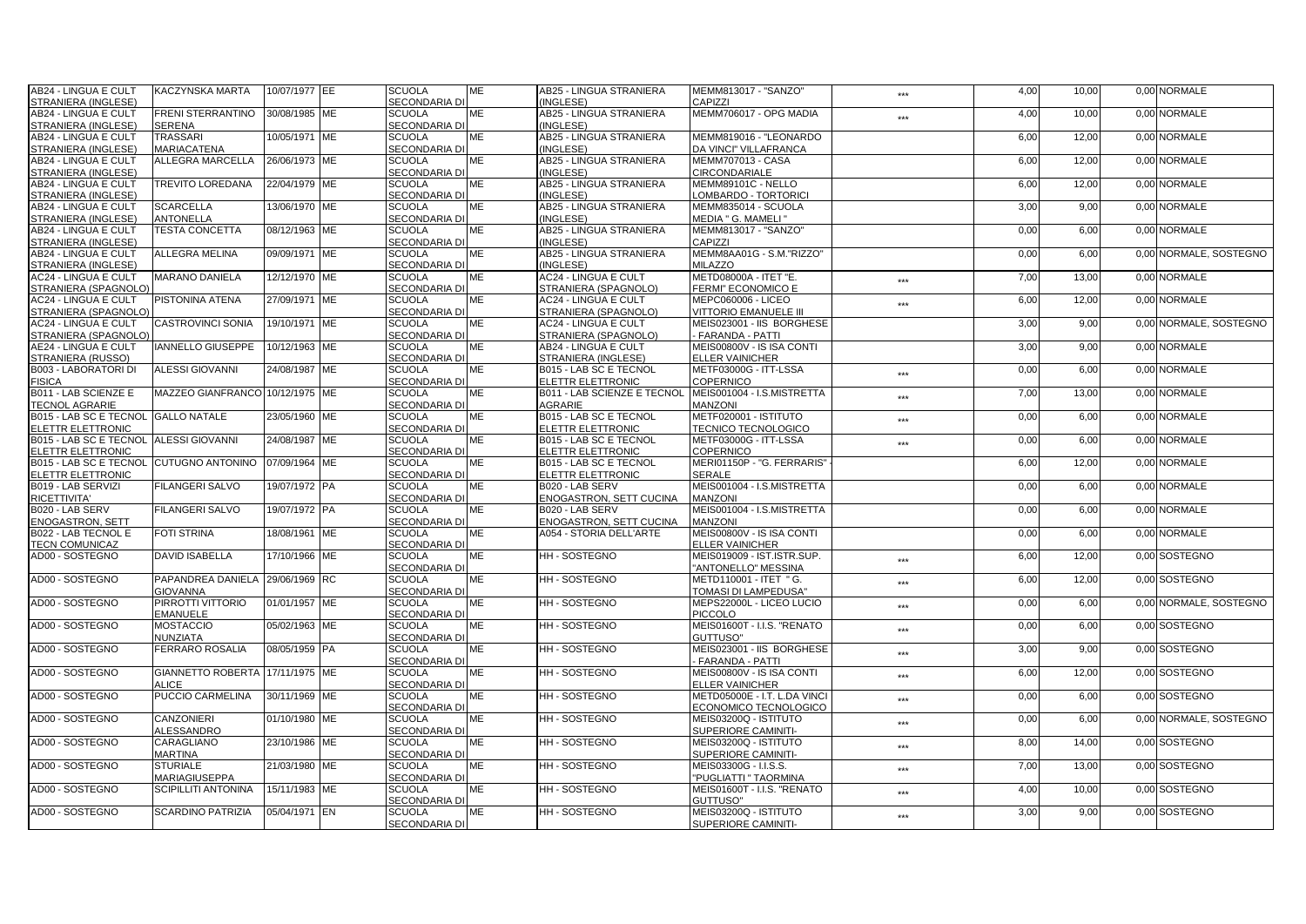| AB24 - LINGUA E CULT                                  | KACZYNSKA MARTA                 | 10/07/1977 EE | <b>SCUOLA</b>        | <b>ME</b> | AB25 - LINGUA STRANIERA        | MEMM813017 - "SANZO"         | ***   | 4,00 | 10,00 | 0,00 NORMALE           |
|-------------------------------------------------------|---------------------------------|---------------|----------------------|-----------|--------------------------------|------------------------------|-------|------|-------|------------------------|
| STRANIERA (INGLESE)                                   |                                 |               | <b>SECONDARIA DI</b> |           | (INGLESE)                      | <b>CAPIZZI</b>               |       |      |       |                        |
| AB24 - LINGUA E CULT                                  | FRENI STERRANTINO               | 30/08/1985 ME | <b>SCUOLA</b>        | ME        | AB25 - LINGUA STRANIERA        | MEMM706017 - OPG MADIA       | ***   | 4,00 | 10,00 | 0,00 NORMALE           |
| STRANIERA (INGLESE)                                   | <b>SERENA</b>                   |               | <b>SECONDARIA DI</b> |           | (INGLESE)                      |                              |       |      |       |                        |
| AB24 - LINGUA E CULT                                  | <b>TRASSARI</b>                 | 10/05/1971 ME | <b>SCUOLA</b>        | <b>ME</b> | AB25 - LINGUA STRANIERA        | MEMM819016 - "LEONARDO       |       | 6.00 | 12.00 | 0.00 NORMALE           |
| STRANIERA (INGLESE)                                   | <b>MARIACATENA</b>              |               | SECONDARIA DI        |           | (INGLESE)                      | DA VINCI" VILLAFRANCA        |       |      |       |                        |
| AB24 - LINGUA E CULT                                  | <b>ALLEGRA MARCELLA</b>         | 26/06/1973 ME | <b>SCUOLA</b>        | <b>ME</b> | <b>AB25 - LINGUA STRANIERA</b> | <b>MEMM707013 - CASA</b>     |       | 6,00 | 12.00 | 0.00 NORMALE           |
| STRANIERA (INGLESE)                                   |                                 |               | <b>SECONDARIA DI</b> |           | (INGLESE)                      | <b>CIRCONDARIALE</b>         |       |      |       |                        |
| AB24 - LINGUA E CULT                                  | <b>TREVITO LOREDANA</b>         | 22/04/1979 ME | <b>SCUOLA</b>        | ME        | AB25 - LINGUA STRANIERA        | MEMM89101C - NELLO           |       | 6,00 | 12,00 | 0,00 NORMALE           |
| STRANIERA (INGLESE)                                   |                                 |               | <b>SECONDARIA DI</b> |           | (INGLESE)                      | LOMBARDO - TORTORICI         |       |      |       |                        |
| AB24 - LINGUA E CULT                                  | <b>SCARCELLA</b>                | 13/06/1970 ME | <b>SCUOLA</b>        | ME        | AB25 - LINGUA STRANIERA        | MEMM835014 - SCUOLA          |       | 3,00 | 9,00  | 0,00 NORMALE           |
| STRANIERA (INGLESE)                                   | <b>ANTONELLA</b>                |               | SECONDARIA DI        |           | (INGLESE)                      | MEDIA " G. MAMELI '          |       |      |       |                        |
| AB24 - LINGUA E CULT                                  | <b>TESTA CONCETTA</b>           | 08/12/1963 ME | <b>SCUOLA</b>        | <b>ME</b> | <b>AB25 - LINGUA STRANIERA</b> | MEMM813017 - "SANZO"         |       | 0.00 | 6,00  | 0.00 NORMALE           |
| STRANIERA (INGLESE                                    |                                 |               | <b>SECONDARIA DI</b> |           | (INGLESE)                      | CAPIZZI                      |       |      |       |                        |
| AB24 - LINGUA E CULT                                  | ALLEGRA MELINA                  | 09/09/1971 ME | <b>SCUOLA</b>        | ME        | AB25 - LINGUA STRANIERA        | MEMM8AA01G - S.M."RIZZO"     |       | 0,00 | 6,00  | 0,00 NORMALE, SOSTEGNO |
|                                                       |                                 |               |                      |           |                                | <b>MILAZZO</b>               |       |      |       |                        |
| STRANIERA (INGLESE)                                   |                                 |               | <b>SECONDARIA DI</b> |           | (INGLESE)                      |                              |       |      |       |                        |
| AC24 - LINGUA E CULT                                  | <b>MARANO DANIELA</b>           | 12/12/1970 ME | <b>SCUOLA</b>        | МE        | AC24 - LINGUA E CULT           | METD08000A - ITET "E.        | $***$ | 7,00 | 13,00 | 0,00 NORMALE           |
| STRANIERA (SPAGNOLO)                                  |                                 |               | <b>SECONDARIA DI</b> |           | STRANIERA (SPAGNOLO)           | FERMI" ECONOMICO E           |       |      |       |                        |
| <b>AC24 - LINGUA E CULT</b>                           | <b>PISTONINA ATENA</b>          | 27/09/1971 ME | <b>SCUOLA</b>        | ME        | AC24 - LINGUA E CULT           | MEPC060006 - LICEO           | ***   | 6,00 | 12,00 | 0,00 NORMALE           |
| STRANIERA (SPAGNOLO)                                  |                                 |               | <b>SECONDARIA DI</b> |           | STRANIERA (SPAGNOLO)           | <b>/ITTORIO EMANUELE III</b> |       |      |       |                        |
| <b>AC24 - LINGUA E CULT</b>                           | <b>CASTROVINCI SONIA</b>        | 19/10/1971 ME | <b>SCUOLA</b>        | ME        | AC24 - LINGUA E CULT           | MEIS023001 - IIS BORGHESE    |       | 3,00 | 9,00  | 0.00 NORMALE, SOSTEGNO |
| STRANIERA (SPAGNOLO                                   |                                 |               | SECONDARIA DI        |           | STRANIERA (SPAGNOLO)           | <b>FARANDA - PATTI</b>       |       |      |       |                        |
| AE24 - LINGUA E CULT                                  | IANNELLO GIUSEPPE               | 10/12/1963 ME | <b>SCUOLA</b>        | <b>ME</b> | AB24 - LINGUA E CULT           | MEIS00800V - IS ISA CONTI    |       | 3,00 | 9,00  | 0,00 NORMALE           |
| STRANIERA (RUSSO)                                     |                                 |               | <b>SECONDARIA DI</b> |           | STRANIERA (INGLESE)            | ELLER VAINICHER              |       |      |       |                        |
| <b>B003 - LABORATORI DI</b>                           | <b>ALESSI GIOVANNI</b>          | 24/08/1987 ME | <b>SCUOLA</b>        | ME        | B015 - LAB SC E TECNOL         | METF03000G - ITT-LSSA        | $***$ | 0,00 | 6,00  | 0.00 NORMALE           |
| <b>FISICA</b>                                         |                                 |               | <b>SECONDARIA DI</b> |           | ELETTR ELETTRONIC              | COPERNICO                    |       |      |       |                        |
| B011 - LAB SCIENZE E                                  | MAZZEO GIANFRANCO 10/12/1975 ME |               | <b>SCUOLA</b>        | ME        | B011 - LAB SCIENZE E TECNOL    | MEIS001004 - I.S.MISTRETTA   | $***$ | 7.00 | 13,00 | 0.00 NORMALE           |
| <b>TECNOL AGRARIE</b>                                 |                                 |               | <b>SECONDARIA DI</b> |           | AGRARIE                        | <b>MANZONI</b>               |       |      |       |                        |
| B015 - LAB SC E TECNOL GALLO NATALE                   |                                 | 23/05/1960 ME | <b>SCUOLA</b>        | <b>ME</b> | B015 - LAB SC E TECNOL         | METF020001 - ISTITUTO        | ***   | 0,00 | 6,00  | 0,00 NORMALE           |
| <b>ELETTR ELETTRONIC</b>                              |                                 |               | SECONDARIA DI        |           | ELETTR ELETTRONIC              | <b>TECNICO TECNOLOGICO</b>   |       |      |       |                        |
| B015 - LAB SC E TECNOL ALESSI GIOVANNI                |                                 | 24/08/1987 ME | <b>SCUOLA</b>        | ME        | B015 - LAB SC E TECNOL         | METF03000G - ITT-LSSA        | $***$ | 0,00 | 6,00  | 0.00 NORMALE           |
| ELETTR ELETTRONIC                                     |                                 |               | <b>SECONDARIA DI</b> |           | ELETTR ELETTRONIC              | COPERNICO                    |       |      |       |                        |
| B015 - LAB SC E TECNOL CUTUGNO ANTONINO 07/09/1964 ME |                                 |               | <b>SCUOLA</b>        | ME        | B015 - LAB SC E TECNOL         | MERI01150P - "G. FERRARIS'   |       | 6,00 | 12,00 | 0,00 NORMALE           |
| ELETTR ELETTRONIC                                     |                                 |               | <b>SECONDARIA DI</b> |           | ELETTR ELETTRONIC              | <b>SERALE</b>                |       |      |       |                        |
| B019 - LAB SERVIZI                                    | <b>FILANGERI SALVO</b>          | 19/07/1972 PA | <b>SCUOLA</b>        | <b>ME</b> | B020 - LAB SERV                | MEIS001004 - I.S.MISTRETTA   |       | 0,00 | 6,00  | 0.00 NORMALE           |
| <b>RICETTIVITA'</b>                                   |                                 |               | SECONDARIA DI        |           | ENOGASTRON, SETT CUCINA        | <b>MANZONI</b>               |       |      |       |                        |
| B020 - LAB SERV                                       | <b>FILANGERI SALVO</b>          | 19/07/1972 PA | <b>SCUOLA</b>        | ME        | B020 - LAB SERV                | MEIS001004 - I.S.MISTRETTA   |       | 0,00 | 6,00  | 0.00 NORMALE           |
| <b>ENOGASTRON, SETT</b>                               |                                 |               | SECONDARIA DI        |           | ENOGASTRON, SETT CUCINA        | <b>MANZONI</b>               |       |      |       |                        |
| B022 - LAB TECNOL E                                   | <b>FOTI STRINA</b>              | 18/08/1961 ME | <b>SCUOLA</b>        | ME        | A054 - STORIA DELL'ARTE        | MEIS00800V - IS ISA CONTI    |       | 0,00 | 6,00  | 0.00 NORMALE           |
| <b>TECN COMUNICAZ</b>                                 |                                 |               | <b>SECONDARIA DI</b> |           |                                | <b>ELLER VAINICHER</b>       |       |      |       |                        |
| AD00 - SOSTEGNO                                       | <b>DAVID ISABELLA</b>           | 17/10/1966 ME | <b>SCUOLA</b>        | <b>ME</b> | HH - SOSTEGNO                  | MEIS019009 - IST.ISTR.SUP.   |       | 6,00 | 12,00 | 0,00 SOSTEGNO          |
|                                                       |                                 |               | SECONDARIA DI        |           |                                | 'ANTONELLO" MESSINA          | $***$ |      |       |                        |
| AD00 - SOSTEGNO                                       | PAPANDREA DANIELA               | 29/06/1969 RC | <b>SCUOLA</b>        | ME        | <b>HH-SOSTEGNO</b>             | METD110001 - ITET " G.       |       | 6,00 | 12.00 | 0.00 SOSTEGNO          |
|                                                       | <b>GIOVANNA</b>                 |               | SECONDARIA DI        |           |                                | TOMASI DI LAMPEDUSA"         | $***$ |      |       |                        |
| AD00 - SOSTEGNO                                       | PIRROTTI VITTORIO               | 01/01/1957 ME | <b>SCUOLA</b>        | ME        | <b>HH - SOSTEGNO</b>           | MEPS22000L - LICEO LUCIO     |       | 0,00 | 6,00  | 0.00 NORMALE, SOSTEGNO |
|                                                       | <b>EMANUELE</b>                 |               | <b>SECONDARIA DI</b> |           |                                | PICCOLO                      | ***   |      |       |                        |
| AD00 - SOSTEGNO                                       | <b>MOSTACCIO</b>                | 05/02/1963 ME | <b>SCUOLA</b>        | <b>ME</b> | HH - SOSTEGNO                  | MEIS01600T - I.I.S. "RENATO  |       |      | 6,00  | 0,00 SOSTEGNO          |
|                                                       |                                 |               |                      |           |                                |                              | $***$ | 0,00 |       |                        |
|                                                       | <b>NUNZIATA</b>                 |               | SECONDARIA DI        |           |                                | GUTTUSO"                     |       |      |       |                        |
| AD00 - SOSTEGNO                                       | <b>FERRARO ROSALIA</b>          | 08/05/1959 PA | <b>SCUOLA</b>        | ME        | <b>HH-SOSTEGNO</b>             | MEIS023001 - IIS BORGHESE    | $***$ | 3,00 | 9,00  | 0,00 SOSTEGNO          |
|                                                       |                                 |               | SECONDARIA DI        |           |                                | <b>FARANDA - PATTI</b>       |       |      |       |                        |
| AD00 - SOSTEGNO                                       | GIANNETTO ROBERTA 17/11/1975 ME |               | <b>SCUOLA</b>        | <b>ME</b> | HH - SOSTEGNO                  | MEIS00800V - IS ISA CONTI    | ***   | 6,00 | 12,00 | 0,00 SOSTEGNO          |
|                                                       | ALICE                           |               | <b>SECONDARIA DI</b> |           |                                | <b>ELLER VAINICHER</b>       |       |      |       |                        |
| AD00 - SOSTEGNO                                       | PUCCIO CARMELINA                | 30/11/1969 ME | <b>SCUOLA</b>        | <b>ME</b> | HH-SOSTEGNO                    | METD05000E - I.T. L.DA VINCI | ***   | 0,00 | 6,00  | 0,00 SOSTEGNO          |
|                                                       |                                 |               | SECONDARIA DI        |           |                                | ECONOMICO TECNOLOGICO        |       |      |       |                        |
| AD00 - SOSTEGNO                                       | <b>CANZONIERI</b>               | 01/10/1980 ME | <b>SCUOLA</b>        | ME        | <b>HH-SOSTEGNO</b>             | MEIS03200Q - ISTITUTO        | $***$ | 0,00 | 6,00  | 0.00 NORMALE, SOSTEGNO |
|                                                       | <b>ALESSANDRO</b>               |               | <b>SECONDARIA DI</b> |           |                                | SUPERIORE CAMINITI-          |       |      |       |                        |
| AD00 - SOSTEGNO                                       | CARAGLIANO                      | 23/10/1986 ME | <b>SCUOLA</b>        | МE        | HH - SOSTEGNO                  | MEIS03200Q - ISTITUTO        | ***   | 8,00 | 14,00 | 0,00 SOSTEGNO          |
|                                                       | <b>MARTINA</b>                  |               | <b>SECONDARIA DI</b> |           |                                | SUPERIORE CAMINITI-          |       |      |       |                        |
| AD00 - SOSTEGNO                                       | <b>STURIALE</b>                 | 21/03/1980 ME | <b>SCUOLA</b>        | <b>ME</b> | HH - SOSTEGNO                  | MEIS03300G - I.I.S.S.        | $***$ | 7,00 | 13,00 | 0,00 SOSTEGNO          |
|                                                       | MARIAGIUSEPPA                   |               | SECONDARIA DI        |           |                                | 'PUGLIATTI " TAORMINA        |       |      |       |                        |
| AD00 - SOSTEGNO                                       | <b>SCIPILLITI ANTONINA</b>      | 15/11/1983 ME | <b>SCUOLA</b>        | ME        | <b>HH-SOSTEGNO</b>             | MEIS01600T - I.I.S. "RENATO  | $***$ | 4,00 | 10,00 | 0.00 SOSTEGNO          |
|                                                       |                                 |               | <b>SECONDARIA DI</b> |           |                                | <b>GUTTUSO"</b>              |       |      |       |                        |
| AD00 - SOSTEGNO                                       | <b>SCARDINO PATRIZIA</b>        | 05/04/1971 EN | <b>SCUOLA</b>        | <b>ME</b> | HH - SOSTEGNO                  | MEIS03200Q - ISTITUTO        | ***   | 3,00 | 9,00  | 0,00 SOSTEGNO          |
|                                                       |                                 |               | <b>SECONDARIA DI</b> |           |                                | SUPERIORE CAMINITI-          |       |      |       |                        |
|                                                       |                                 |               |                      |           |                                |                              |       |      |       |                        |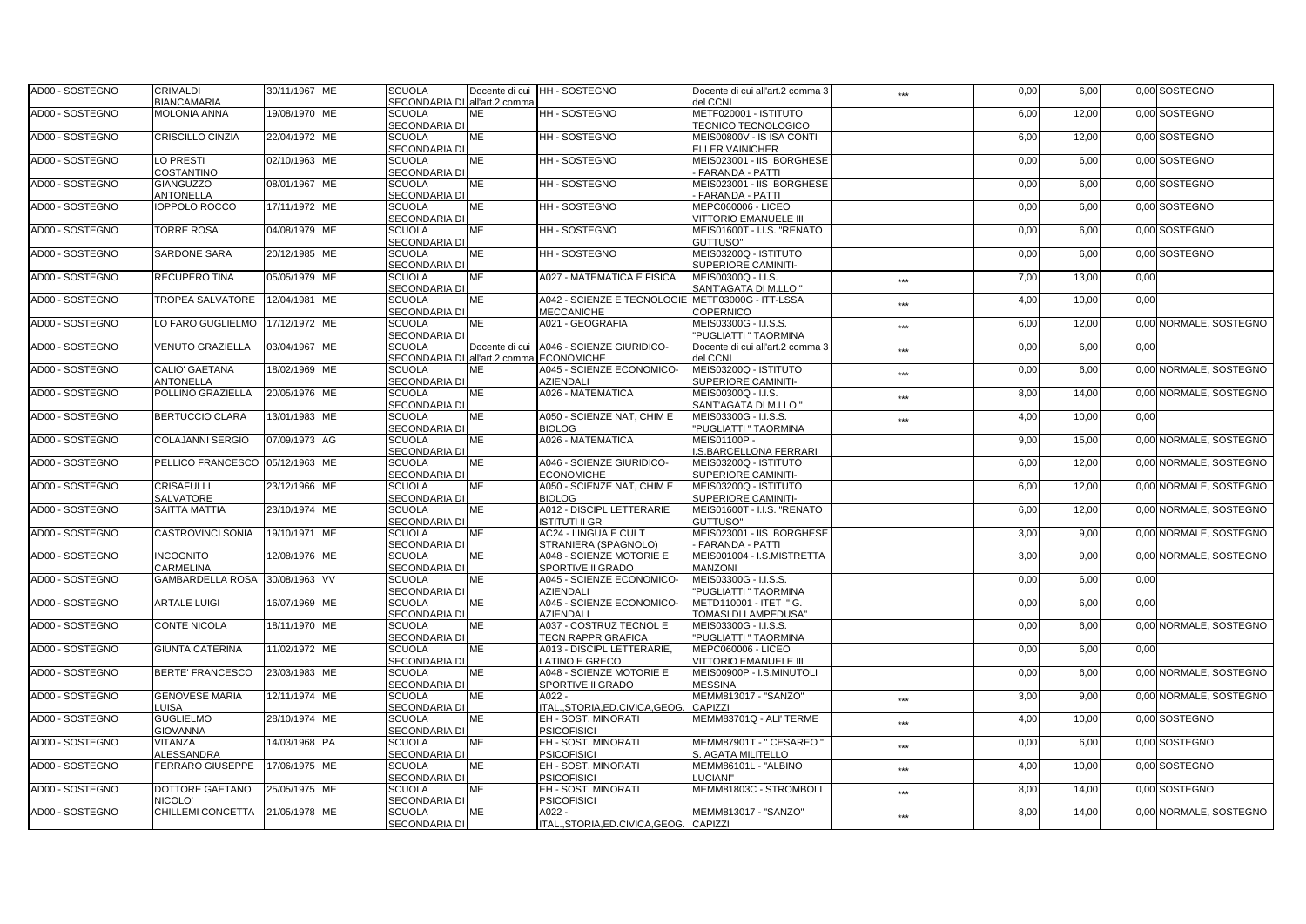| AD00 - SOSTEGNO | <b>CRIMALDI</b>                 | 30/11/1967 ME | <b>SCUOLA</b>                 | Docente di cui | HH-SOSTEGNO                              | Docente di cui all'art.2 comma 3                   | ***               | 0,00 | 6,00  |      | 0,00 SOSTEGNO          |
|-----------------|---------------------------------|---------------|-------------------------------|----------------|------------------------------------------|----------------------------------------------------|-------------------|------|-------|------|------------------------|
|                 | <b>BIANCAMARIA</b>              |               | SECONDARIA DI all'art.2 comma |                |                                          | del CCNI                                           |                   |      |       |      |                        |
| AD00 - SOSTEGNO | <b>MOLONIA ANNA</b>             | 19/08/1970 ME | <b>SCUOLA</b>                 | <b>ME</b>      | HH - SOSTEGNO                            | METF020001 - ISTITUTO                              |                   | 6,00 | 12,00 |      | 0,00 SOSTEGNO          |
|                 |                                 |               | <b>SECONDARIA DI</b>          |                |                                          | <b>TECNICO TECNOLOGICO</b>                         |                   |      |       |      |                        |
| AD00 - SOSTEGNO | <b>CRISCILLO CINZIA</b>         | 22/04/1972 ME | <b>SCUOLA</b>                 | <b>ME</b>      | HH-SOSTEGNO                              | MEIS00800V - IS ISA CONTI                          |                   | 6,00 | 12,00 |      | 0,00 SOSTEGNO          |
|                 |                                 |               | SECONDARIA DI                 |                |                                          | <b>ELLER VAINICHER</b>                             |                   |      |       |      |                        |
| AD00 - SOSTEGNO | LO PRESTI                       | 02/10/1963 ME | <b>SCUOLA</b>                 | <b>ME</b>      | <b>HH-SOSTEGNO</b>                       | MEIS023001 - IIS BORGHESE                          |                   | 0,00 | 6,00  |      | 0.00 SOSTEGNO          |
|                 | COSTANTINO                      |               | <b>SECONDARIA DI</b>          |                |                                          | <b>FARANDA - PATTI</b>                             |                   |      |       |      |                        |
| AD00 - SOSTEGNO | <b>GIANGUZZO</b>                | 08/01/1967 ME | <b>SCUOLA</b>                 | <b>ME</b>      | HH - SOSTEGNO                            | MEIS023001 - IIS BORGHESE                          |                   | 0,00 | 6,00  |      | 0,00 SOSTEGNO          |
|                 | ANTONELLA                       |               | <b>SECONDARIA DI</b>          |                |                                          | <b>FARANDA - PATTI</b>                             |                   |      |       |      |                        |
| AD00 - SOSTEGNO | <b>IOPPOLO ROCCO</b>            | 17/11/1972 ME | <b>SCUOLA</b>                 | <b>ME</b>      | HH-SOSTEGNO                              | MEPC060006 - LICEO                                 |                   | 0,00 | 6,00  |      | 0,00 SOSTEGNO          |
|                 |                                 |               | SECONDARIA DI                 |                |                                          | VITTORIO EMANUELE III                              |                   |      |       |      |                        |
| AD00 - SOSTEGNO | <b>TORRE ROSA</b>               | 04/08/1979 ME | <b>SCUOLA</b>                 | <b>ME</b>      | <b>HH-SOSTEGNO</b>                       | MEIS01600T - I.I.S. "RENATO                        |                   | 0,00 | 6,00  |      | 0.00 SOSTEGNO          |
|                 |                                 |               | <b>SECONDARIA DI</b>          |                |                                          | GUTTUSO"                                           |                   |      |       |      |                        |
| AD00 - SOSTEGNO | <b>SARDONE SARA</b>             | 20/12/1985 ME | <b>SCUOLA</b>                 | ME             | HH - SOSTEGNO                            | MEIS03200Q - ISTITUTO                              |                   | 0,00 | 6,00  |      | 0,00 SOSTEGNO          |
|                 |                                 |               | <b>SECONDARIA DI</b>          |                |                                          | SUPERIORE CAMINITI-                                |                   |      |       |      |                        |
| AD00 - SOSTEGNO | <b>RECUPERO TINA</b>            | 05/05/1979 ME | <b>SCUOLA</b>                 | <b>ME</b>      | A027 - MATEMATICA E FISICA               | MEIS00300Q - I.I.S.                                | $***$             | 7,00 | 13,00 | 0,00 |                        |
|                 |                                 |               | SECONDARIA DI                 |                |                                          | SANT'AGATA DI M.LLO "                              |                   |      |       |      |                        |
| AD00 - SOSTEGNO | <b>TROPEA SALVATORE</b>         | 12/04/1981 ME | <b>SCUOLA</b>                 | <b>ME</b>      | A042 - SCIENZE E TECNOLOGIE              | METF03000G - ITT-LSSA                              | ***               | 4,00 | 10.00 | 0.00 |                        |
|                 |                                 |               | SECONDARIA DI                 |                | <b>MECCANICHE</b>                        | COPERNICO                                          |                   |      |       |      |                        |
| AD00 - SOSTEGNO | LO FARO GUGLIELMO               | 17/12/1972 ME | <b>SCUOLA</b>                 | <b>ME</b>      | A021 - GEOGRAFIA                         | MEIS03300G - I.I.S.S.                              | ***               | 6,00 | 12,00 |      | 0,00 NORMALE, SOSTEGNO |
|                 |                                 |               | <b>SECONDARIA DI</b>          |                |                                          | "PUGLIATTI " TAORMINA                              |                   |      |       |      |                        |
| AD00 - SOSTEGNO | VENUTO GRAZIELLA                | 03/04/1967 ME | <b>SCUOLA</b>                 | Docente di cui | A046 - SCIENZE GIURIDICO-                | Docente di cui all'art.2 comma 3                   | ***               | 0,00 | 6,00  | 0,00 |                        |
|                 |                                 |               | SECONDARIA DI all'art.2 comma |                | <b>ECONOMICHE</b>                        | del CCNI                                           |                   |      |       |      |                        |
| AD00 - SOSTEGNO | CALIO' GAETANA                  | 18/02/1969 ME | <b>SCUOLA</b>                 | <b>ME</b>      | A045 - SCIENZE ECONOMICO-                | MEIS03200Q - ISTITUTO                              |                   | 0,00 | 6.00  |      | 0.00 NORMALE, SOSTEGNO |
|                 | ANTONELLA                       |               | SECONDARIA DI                 |                | <b>AZIENDALI</b>                         | SUPERIORE CAMINITI-                                | ***               |      |       |      |                        |
| AD00 - SOSTEGNO | POLLINO GRAZIELLA               | 20/05/1976 ME | <b>SCUOLA</b>                 | <b>ME</b>      | A026 - MATEMATICA                        | MEIS00300Q - I.I.S.                                |                   | 8,00 | 14,00 |      | 0.00 NORMALE, SOSTEGNO |
|                 |                                 |               | SECONDARIA DI                 |                |                                          | SANT'AGATA DI M.LLO "                              | ***               |      |       |      |                        |
| AD00 - SOSTEGNO | <b>BERTUCCIO CLARA</b>          | 13/01/1983 ME | <b>SCUOLA</b>                 | ME             | A050 - SCIENZE NAT, CHIM E               | MEIS03300G - I.I.S.S.                              |                   | 4,00 | 10,00 | 0,00 |                        |
|                 |                                 |               | SECONDARIA DI                 |                | <b>BIOLOG</b>                            | "PUGLIATTI " TAORMINA                              | ***               |      |       |      |                        |
| AD00 - SOSTEGNO | <b>COLAJANNI SERGIO</b>         | 07/09/1973 AG | <b>SCUOLA</b>                 | <b>ME</b>      | A026 - MATEMATICA                        | MEIS01100P -                                       |                   | 9.00 | 15.00 |      | 0.00 NORMALE, SOSTEGNO |
|                 |                                 |               | SECONDARIA DI                 |                |                                          | .S.BARCELLONA FERRARI                              |                   |      |       |      |                        |
| AD00 - SOSTEGNO | PELLICO FRANCESCO 05/12/1963 ME |               | <b>SCUOLA</b>                 | <b>ME</b>      | A046 - SCIENZE GIURIDICO-                | MEIS03200Q - ISTITUTO                              |                   | 6,00 | 12,00 |      | 0,00 NORMALE, SOSTEGNO |
|                 |                                 |               | <b>SECONDARIA DI</b>          |                | <b>ECONOMICHE</b>                        | <b>SUPERIORE CAMINITI-</b>                         |                   |      |       |      |                        |
| AD00 - SOSTEGNO | <b>CRISAFULLI</b>               | 23/12/1966 ME | <b>SCUOLA</b>                 | ME             | A050 - SCIENZE NAT, CHIM E               | MEIS03200Q - ISTITUTO                              |                   | 6,00 | 12,00 |      | 0,00 NORMALE, SOSTEGNO |
|                 | SALVATORE                       |               | SECONDARIA DI                 |                | <b>BIOLOG</b>                            |                                                    |                   |      |       |      |                        |
| AD00 - SOSTEGNO | SAITTA MATTIA                   | 23/10/1974 ME | <b>SCUOLA</b>                 | ME             | A012 - DISCIPL LETTERARIE                | SUPERIORE CAMINITI-<br>MEIS01600T - I.I.S. "RENATO |                   | 6,00 | 12,00 |      | 0,00 NORMALE, SOSTEGNO |
|                 |                                 |               | SECONDARIA DI                 |                | <b>ISTITUTI II GR</b>                    |                                                    |                   |      |       |      |                        |
| AD00 - SOSTEGNO | <b>CASTROVINCI SONIA</b>        | 19/10/1971 ME | <b>SCUOLA</b>                 | <b>ME</b>      | <b>AC24 - LINGUA E CULT</b>              | GUTTUSO"<br>MEIS023001 - IIS BORGHESE              |                   | 3,00 | 9,00  |      | 0.00 NORMALE, SOSTEGNO |
|                 |                                 |               | <b>SECONDARIA DI</b>          |                |                                          |                                                    |                   |      |       |      |                        |
|                 |                                 |               |                               |                | STRANIERA (SPAGNOLO)                     | <b>FARANDA - PATTI</b>                             |                   |      |       |      |                        |
| AD00 - SOSTEGNO | <b>INCOGNITO</b><br>CARMELINA   | 12/08/1976 ME | <b>SCUOLA</b>                 | ME             | A048 - SCIENZE MOTORIE E                 | MEIS001004 - I.S.MISTRETTA<br><b>MANZONI</b>       |                   | 3,00 | 9,00  |      | 0,00 NORMALE, SOSTEGNO |
| AD00 - SOSTEGNO | <b>GAMBARDELLA ROSA</b>         | 30/08/1963 VV | SECONDARIA DI                 |                | SPORTIVE II GRADO                        |                                                    |                   |      |       |      |                        |
|                 |                                 |               | <b>SCUOLA</b>                 | ME             | A045 - SCIENZE ECONOMICO-                | MEIS03300G - I.I.S.S.                              |                   | 0,00 | 6,00  | 0,00 |                        |
|                 |                                 |               | SECONDARIA DI                 |                | <b>AZIENDALI</b>                         | "PUGLIATTI " TAORMINA                              |                   |      |       |      |                        |
| AD00 - SOSTEGNO | <b>ARTALE LUIGI</b>             | 16/07/1969 ME | <b>SCUOLA</b>                 | <b>ME</b>      | A045 - SCIENZE ECONOMICO-                | METD110001 - ITET " G.                             |                   | 0,00 | 6,00  | 0,00 |                        |
|                 |                                 |               | <b>SECONDARIA DI</b>          |                | <b>AZIENDALI</b>                         | TOMASI DI LAMPEDUSA"                               |                   |      |       |      |                        |
| AD00 - SOSTEGNO | <b>CONTE NICOLA</b>             | 18/11/1970 ME | <b>SCUOLA</b>                 | <b>ME</b>      | A037 - COSTRUZ TECNOL E                  | MEIS03300G - I.I.S.S.                              |                   | 0,00 | 6,00  |      | 0,00 NORMALE, SOSTEGNO |
|                 |                                 |               | SECONDARIA DI                 |                | <b>TECN RAPPR GRAFICA</b>                | "PUGLIATTI " TAORMINA                              |                   |      |       |      |                        |
| AD00 - SOSTEGNO | <b>GIUNTA CATERINA</b>          | 11/02/1972 ME | <b>SCUOLA</b>                 | ME             | A013 - DISCIPL LETTERARIE,               | MEPC060006 - LICEO                                 |                   | 0,00 | 6,00  | 0,00 |                        |
|                 |                                 |               | SECONDARIA DI                 |                | LATINO E GRECO                           | VITTORIO EMANUELE III                              |                   |      |       |      |                        |
| AD00 - SOSTEGNO | <b>BERTE' FRANCESCO</b>         | 23/03/1983 ME | <b>SCUOLA</b>                 | ME             | A048 - SCIENZE MOTORIE E                 | MEIS00900P - I.S.MINUTOLI                          |                   | 0,00 | 6,00  |      | 0,00 NORMALE, SOSTEGNO |
|                 |                                 |               | <b>SECONDARIA DI</b>          |                | <b>SPORTIVE II GRADO</b>                 | <b>MESSINA</b>                                     |                   |      |       |      |                        |
| AD00 - SOSTEGNO | <b>GENOVESE MARIA</b>           | 12/11/1974 ME | <b>SCUOLA</b>                 | <b>ME</b>      | A022 -                                   | MEMM813017 - "SANZO"                               | ***               | 3,00 | 9,00  |      | 0,00 NORMALE, SOSTEGNO |
|                 | LUISA                           |               | SECONDARIA DI                 |                | ITAL., STORIA, ED. CIVICA, GEOG.         | CAPIZZI                                            |                   |      |       |      |                        |
| AD00 - SOSTEGNO | <b>GUGLIELMO</b>                | 28/10/1974 ME | <b>SCUOLA</b>                 | <b>ME</b>      | EH - SOST, MINORATI                      | MEMM83701Q - ALI' TERME                            | $***$             | 4,00 | 10,00 |      | 0,00 SOSTEGNO          |
|                 | <b>GIOVANNA</b>                 |               | <b>SECONDARIA DI</b>          |                | <b>PSICOFISICI</b>                       |                                                    |                   |      |       |      |                        |
| AD00 - SOSTEGNO | VITANZA                         | 14/03/1968 PA | <b>SCUOLA</b>                 | ME             | EH - SOST. MINORATI                      | MEMM87901T - " CESAREO "                           | ***               | 0,00 | 6,00  |      | 0,00 SOSTEGNO          |
|                 | ALESSANDRA                      |               | <b>SECONDARIA DI</b>          |                | <b>PSICOFISICI</b>                       | S. AGATA MILITELLO                                 |                   |      |       |      |                        |
| AD00 - SOSTEGNO | FERRARO GIUSEPPE                | 17/06/1975 ME | <b>SCUOLA</b>                 | <b>ME</b>      | EH - SOST. MINORATI                      | MEMM86101L - "ALBINO                               | $\star\star\star$ | 4,00 | 10,00 |      | 0,00 SOSTEGNO          |
|                 |                                 |               | SECONDARIA DI                 |                | <b>PSICOFISICI</b>                       | LUCIANI"                                           |                   |      |       |      |                        |
| AD00 - SOSTEGNO | DOTTORE GAETANO                 | 25/05/1975 ME | <b>SCUOLA</b>                 | <b>ME</b>      | EH - SOST. MINORATI                      | MEMM81803C - STROMBOLI                             | $***$             | 8,00 | 14,00 |      | 0,00 SOSTEGNO          |
|                 | NICOLO'                         |               | <b>SECONDARIA DI</b>          |                | <b>PSICOFISICI</b>                       |                                                    |                   |      |       |      |                        |
| AD00 - SOSTEGNO | CHILLEMI CONCETTA               | 21/05/1978 ME | <b>SCUOLA</b>                 | <b>ME</b>      | A022 -                                   | MEMM813017 - "SANZO"                               | ***               | 8,00 | 14,00 |      | 0,00 NORMALE, SOSTEGNO |
|                 |                                 |               | SECONDARIA DI                 |                | ITAL., STORIA, ED. CIVICA, GEOG. CAPIZZI |                                                    |                   |      |       |      |                        |